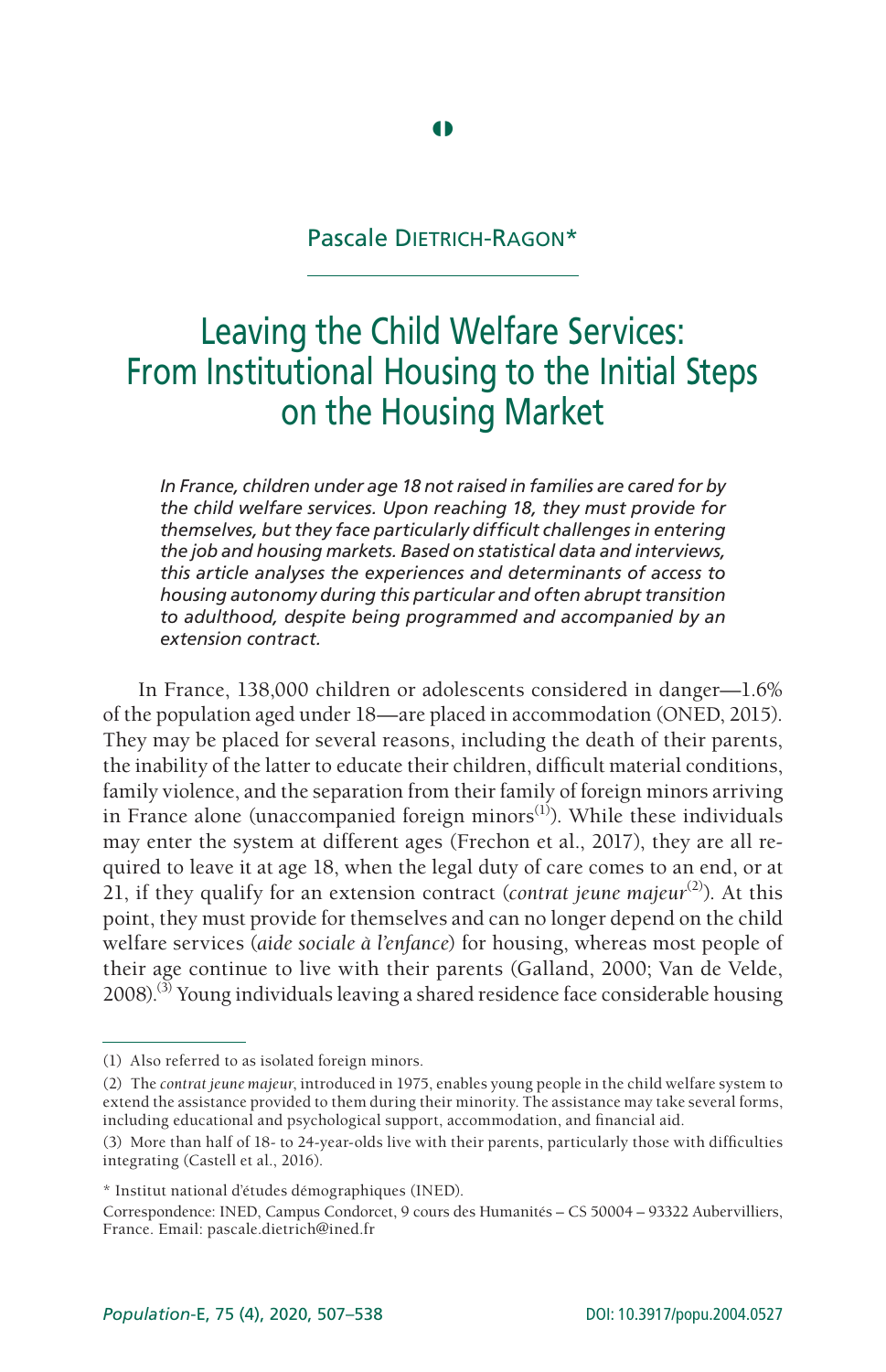# Pascale Dietrich-Ragon\*

**4** 

# Leaving the Child Welfare Services: From Institutional Housing to the Initial Steps on the Housing Market

*In France, children under age 18 not raised in families are cared for by the child welfare services. Upon reaching 18, they must provide for themselves, but they face particularly difficult challenges in entering the job and housing markets. Based on statistical data and interviews, this article analyses the experiences and determinants of access to housing autonomy during this particular and often abrupt transition to adulthood, despite being programmed and accompanied by an extension contract.*

In France, 138,000 children or adolescents considered in danger—1.6% of the population aged under 18—are placed in accommodation (ONED, 2015). They may be placed for several reasons, including the death of their parents, the inability of the latter to educate their children, difficult material conditions, family violence, and the separation from their family of foreign minors arriving in France alone (unaccompanied foreign minors $^{(1)}$ ). While these individuals may enter the system at different ages (Frechon et al., 2017), they are all required to leave it at age 18, when the legal duty of care comes to an end, or at 21, if they qualify for an extension contract (*contrat jeune majeur*(2)). At this point, they must provide for themselves and can no longer depend on the child welfare services (*aide sociale à l'enfance*) for housing, whereas most people of their age continue to live with their parents (Galland, 2000; Van de Velde,  $2008$ .<sup>(3)</sup> Young individuals leaving a shared residence face considerable housing

<sup>(1)</sup> Also referred to as isolated foreign minors.

<sup>(2)</sup> The *contrat jeune majeur*, introduced in 1975, enables young people in the child welfare system to extend the assistance provided to them during their minority. The assistance may take several forms, including educational and psychological support, accommodation, and financial aid.

<sup>(3)</sup> More than half of 18- to 24-year-olds live with their parents, particularly those with difficulties integrating (Castell et al., 2016).

<sup>\*</sup> Institut national d'études démographiques (INED).

Correspondence: INED, Campus Condorcet, 9 cours des Humanités – CS 50004 – 93322 Aubervilliers, France. Email: pascale.dietrich@ined.fr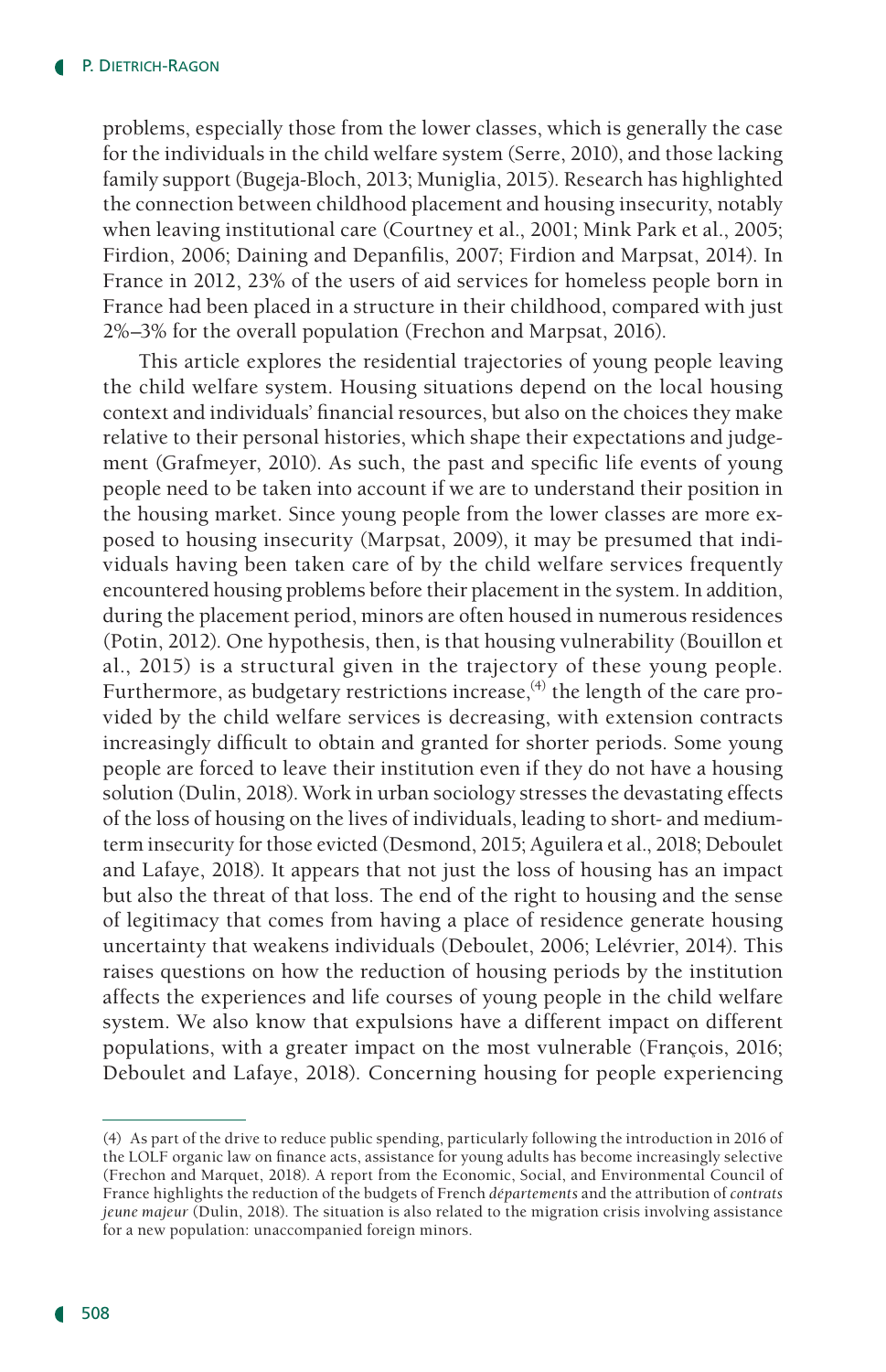problems, especially those from the lower classes, which is generally the case for the individuals in the child welfare system (Serre, 2010), and those lacking family support (Bugeja-Bloch, 2013; Muniglia, 2015). Research has highlighted the connection between childhood placement and housing insecurity, notably when leaving institutional care (Courtney et al., 2001; Mink Park et al., 2005; Firdion, 2006; Daining and Depanfilis, 2007; Firdion and Marpsat, 2014). In France in 2012, 23% of the users of aid services for homeless people born in France had been placed in a structure in their childhood, compared with just 2%–3% for the overall population (Frechon and Marpsat, 2016).

This article explores the residential trajectories of young people leaving the child welfare system. Housing situations depend on the local housing context and individuals' financial resources, but also on the choices they make relative to their personal histories, which shape their expectations and judgement (Grafmeyer, 2010). As such, the past and specific life events of young people need to be taken into account if we are to understand their position in the housing market. Since young people from the lower classes are more exposed to housing insecurity (Marpsat, 2009), it may be presumed that individuals having been taken care of by the child welfare services frequently encountered housing problems before their placement in the system. In addition, during the placement period, minors are often housed in numerous residences (Potin, 2012). One hypothesis, then, is that housing vulnerability (Bouillon et al., 2015) is a structural given in the trajectory of these young people. Furthermore, as budgetary restrictions increase,  $4$ ) the length of the care provided by the child welfare services is decreasing, with extension contracts increasingly difficult to obtain and granted for shorter periods. Some young people are forced to leave their institution even if they do not have a housing solution (Dulin, 2018). Work in urban sociology stresses the devastating effects of the loss of housing on the lives of individuals, leading to short- and mediumterm insecurity for those evicted (Desmond, 2015; Aguilera et al., 2018; Deboulet and Lafaye, 2018). It appears that not just the loss of housing has an impact but also the threat of that loss. The end of the right to housing and the sense of legitimacy that comes from having a place of residence generate housing uncertainty that weakens individuals (Deboulet, 2006; Lelévrier, 2014). This raises questions on how the reduction of housing periods by the institution affects the experiences and life courses of young people in the child welfare system. We also know that expulsions have a different impact on different populations, with a greater impact on the most vulnerable (François, 2016; Deboulet and Lafaye, 2018). Concerning housing for people experiencing

<sup>(4)</sup> As part of the drive to reduce public spending, particularly following the introduction in 2016 of the LOLF organic law on finance acts, assistance for young adults has become increasingly selective (Frechon and Marquet, 2018). A report from the Economic, Social, and Environmental Council of France highlights the reduction of the budgets of French *départements* and the attribution of *contrats jeune majeur* (Dulin, 2018). The situation is also related to the migration crisis involving assistance for a new population: unaccompanied foreign minors.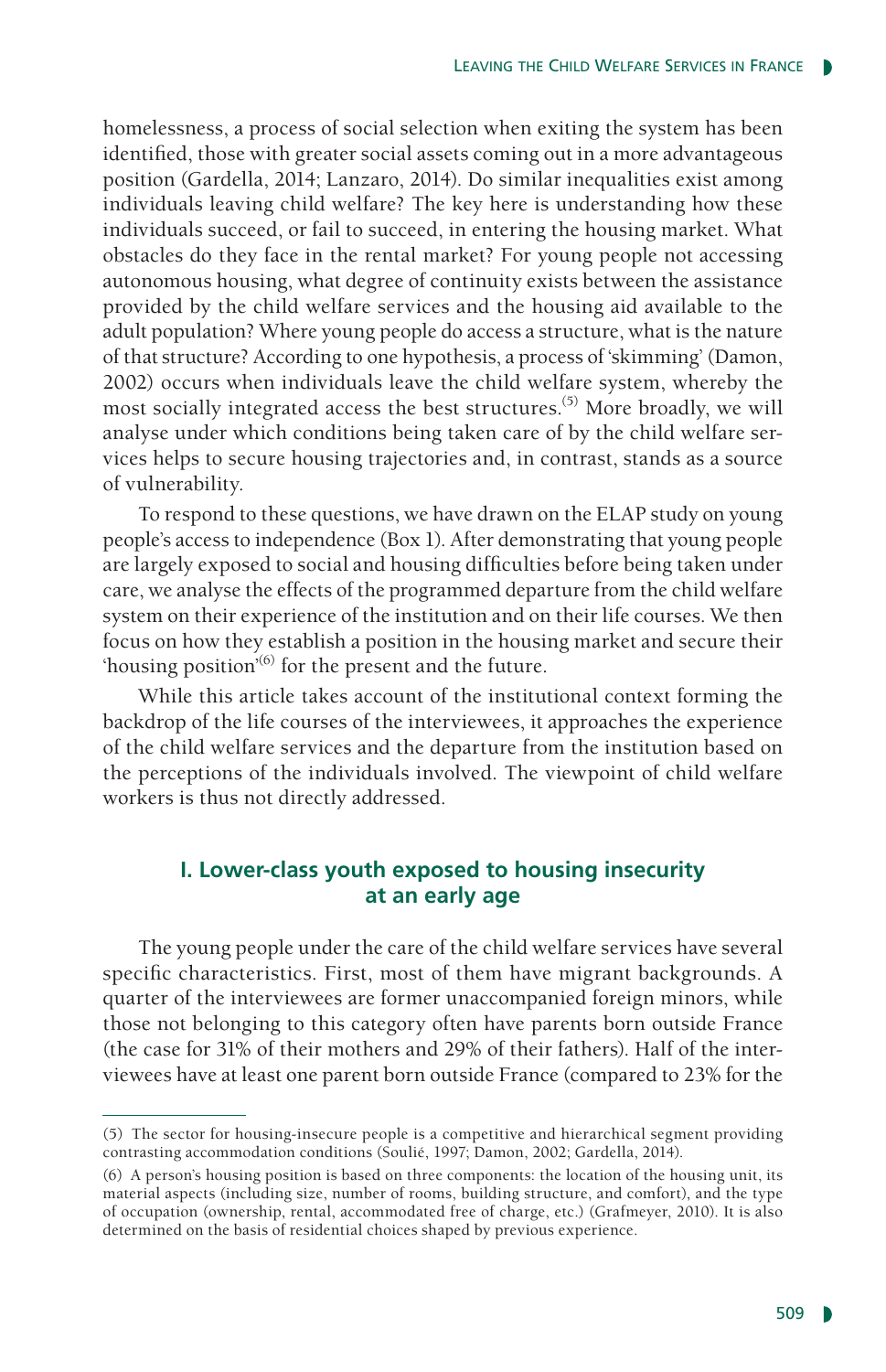homelessness, a process of social selection when exiting the system has been identified, those with greater social assets coming out in a more advantageous position (Gardella, 2014; Lanzaro, 2014). Do similar inequalities exist among individuals leaving child welfare? The key here is understanding how these individuals succeed, or fail to succeed, in entering the housing market. What obstacles do they face in the rental market? For young people not accessing autonomous housing, what degree of continuity exists between the assistance provided by the child welfare services and the housing aid available to the adult population? Where young people do access a structure, what is the nature of that structure? According to one hypothesis, a process of 'skimming' (Damon, 2002) occurs when individuals leave the child welfare system, whereby the most socially integrated access the best structures.<sup>(5)</sup> More broadly, we will analyse under which conditions being taken care of by the child welfare services helps to secure housing trajectories and, in contrast, stands as a source of vulnerability.

To respond to these questions, we have drawn on the ELAP study on young people's access to independence (Box 1). After demonstrating that young people are largely exposed to social and housing difficulties before being taken under care, we analyse the effects of the programmed departure from the child welfare system on their experience of the institution and on their life courses. We then focus on how they establish a position in the housing market and secure their 'housing position'<sup>(6)</sup> for the present and the future.

While this article takes account of the institutional context forming the backdrop of the life courses of the interviewees, it approaches the experience of the child welfare services and the departure from the institution based on the perceptions of the individuals involved. The viewpoint of child welfare workers is thus not directly addressed.

# **I. Lower-class youth exposed to housing insecurity at an early age**

The young people under the care of the child welfare services have several specific characteristics. First, most of them have migrant backgrounds. A quarter of the interviewees are former unaccompanied foreign minors, while those not belonging to this category often have parents born outside France (the case for 31% of their mothers and 29% of their fathers). Half of the interviewees have at least one parent born outside France (compared to 23% for the

<sup>(5)</sup> The sector for housing-insecure people is a competitive and hierarchical segment providing contrasting accommodation conditions (Soulié, 1997; Damon, 2002; Gardella, 2014).

<sup>(6)</sup> A person's housing position is based on three components: the location of the housing unit, its material aspects (including size, number of rooms, building structure, and comfort), and the type of occupation (ownership, rental, accommodated free of charge, etc.) (Grafmeyer, 2010). It is also determined on the basis of residential choices shaped by previous experience.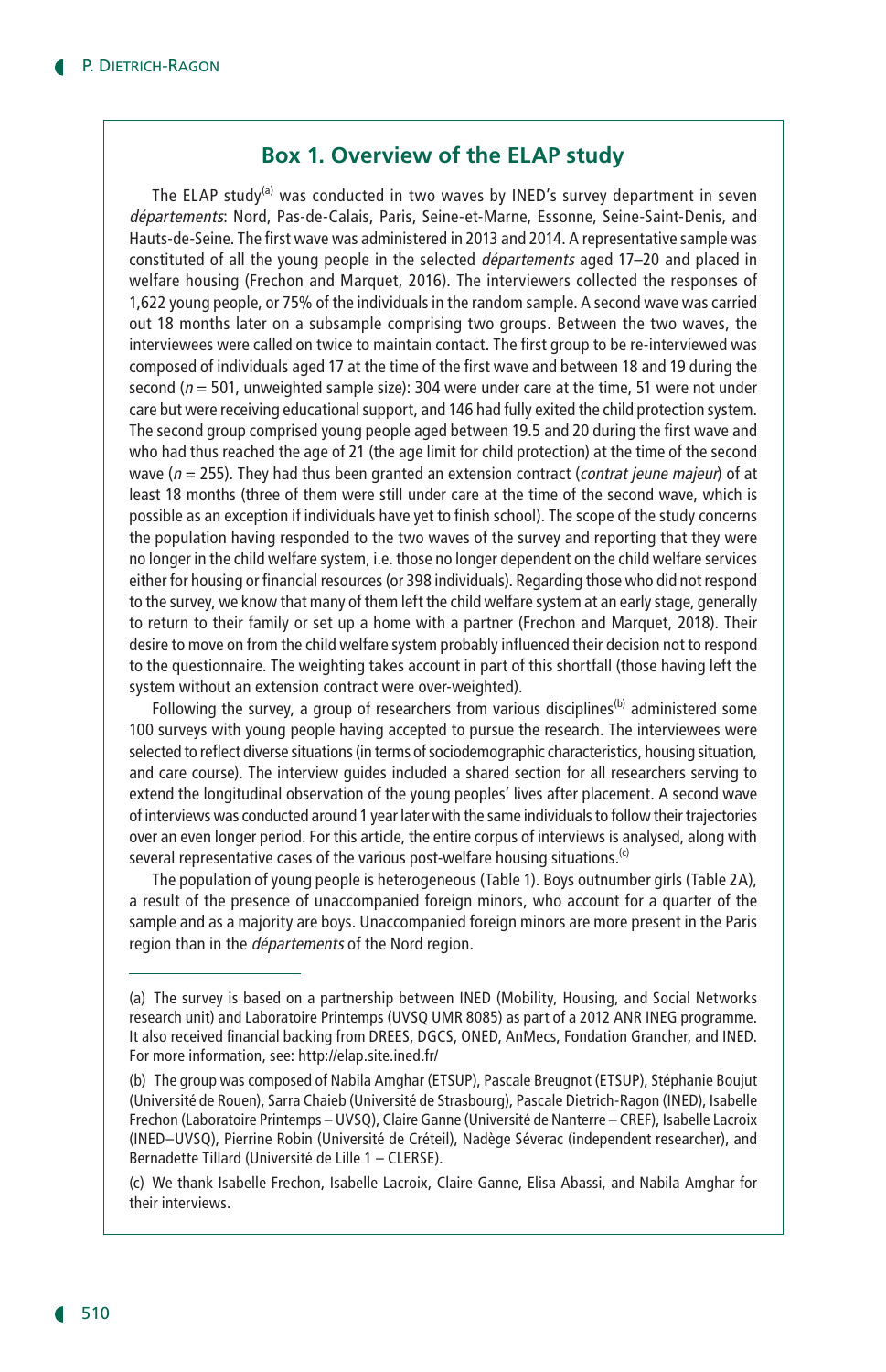#### **Box 1. Overview of the ELAP study**

The ELAP study<sup>(a)</sup> was conducted in two waves by INED's survey department in seven départements: Nord, Pas-de-Calais, Paris, Seine-et-Marne, Essonne, Seine-Saint-Denis, and Hauts-de-Seine. The first wave was administered in 2013 and 2014. A representative sample was constituted of all the young people in the selected départements aged 17–20 and placed in welfare housing (Frechon and Marquet, 2016). The interviewers collected the responses of 1,622 young people, or 75% of the individuals in the random sample. A second wave was carried out 18 months later on a subsample comprising two groups. Between the two waves, the interviewees were called on twice to maintain contact. The first group to be re-interviewed was composed of individuals aged 17 at the time of the first wave and between 18 and 19 during the second ( $n = 501$ , unweighted sample size): 304 were under care at the time, 51 were not under care but were receiving educational support, and 146 had fully exited the child protection system. The second group comprised young people aged between 19.5 and 20 during the first wave and who had thus reached the age of 21 (the age limit for child protection) at the time of the second wave ( $n = 255$ ). They had thus been granted an extension contract (*contrat jeune majeur*) of at least 18 months (three of them were still under care at the time of the second wave, which is possible as an exception if individuals have yet to finish school). The scope of the study concerns the population having responded to the two waves of the survey and reporting that they were no longer in the child welfare system, i.e. those no longer dependent on the child welfare services either for housing or financial resources (or 398 individuals). Regarding those who did not respond to the survey, we know that many of them left the child welfare system at an early stage, generally to return to their family or set up a home with a partner (Frechon and Marquet, 2018). Their desire to move on from the child welfare system probably influenced their decision not to respond to the questionnaire. The weighting takes account in part of this shortfall (those having left the system without an extension contract were over-weighted).

Following the survey, a group of researchers from various disciplines<sup>(b)</sup> administered some 100 surveys with young people having accepted to pursue the research. The interviewees were selected to reflect diverse situations (in terms of sociodemographic characteristics, housing situation, and care course). The interview guides included a shared section for all researchers serving to extend the longitudinal observation of the young peoples' lives after placement. A second wave of interviews was conducted around 1 year later with the same individuals to follow their trajectories over an even longer period. For this article, the entire corpus of interviews is analysed, along with several representative cases of the various post-welfare housing situations.<sup>(c)</sup>

The population of young people is heterogeneous (Table 1). Boys outnumber girls (Table 2A), a result of the presence of unaccompanied foreign minors, who account for a quarter of the sample and as a majority are boys. Unaccompanied foreign minors are more present in the Paris region than in the *départements* of the Nord region.

<sup>(</sup>a) The survey is based on a partnership between INED (Mobility, Housing, and Social Networks research unit) and Laboratoire Printemps (UVSQ UMR 8085) as part of a 2012 ANR INEG programme. It also received financial backing from DREES, DGCS, ONED, AnMecs, Fondation Grancher, and INED. For more information, see: http://elap.site.ined.fr/

<sup>(</sup>b) The group was composed of Nabila Amghar (ETSUP), Pascale Breugnot (ETSUP), Stéphanie Boujut (Université de Rouen), Sarra Chaieb (Université de Strasbourg), Pascale Dietrich-Ragon (INED), Isabelle Frechon (Laboratoire Printemps – UVSQ), Claire Ganne (Université de Nanterre – CREF), Isabelle Lacroix (INED–UVSQ), Pierrine Robin (Université de Créteil), Nadège Séverac (independent researcher), and Bernadette Tillard (Université de Lille 1 – CLERSE).

<sup>(</sup>c) We thank Isabelle Frechon, Isabelle Lacroix, Claire Ganne, Elisa Abassi, and Nabila Amghar for their interviews.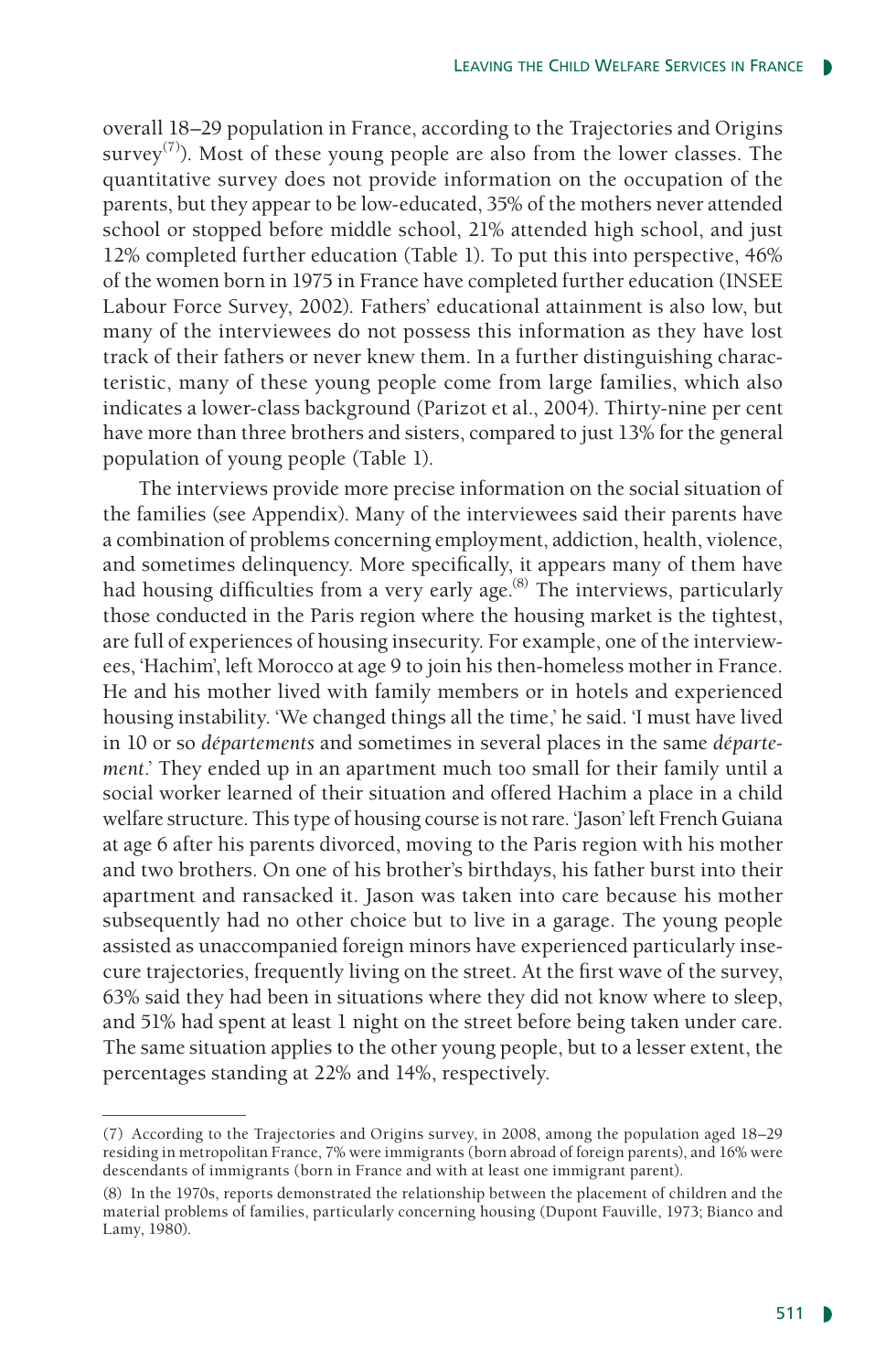overall 18–29 population in France, according to the Trajectories and Origins survey<sup>(7)</sup>). Most of these young people are also from the lower classes. The quantitative survey does not provide information on the occupation of the parents, but they appear to be low-educated, 35% of the mothers never attended school or stopped before middle school, 21% attended high school, and just 12% completed further education (Table 1). To put this into perspective, 46% of the women born in 1975 in France have completed further education (INSEE Labour Force Survey, 2002). Fathers' educational attainment is also low, but many of the interviewees do not possess this information as they have lost track of their fathers or never knew them. In a further distinguishing characteristic, many of these young people come from large families, which also indicates a lower-class background (Parizot et al., 2004). Thirty-nine per cent have more than three brothers and sisters, compared to just 13% for the general population of young people (Table 1).

The interviews provide more precise information on the social situation of the families (see Appendix). Many of the interviewees said their parents have a combination of problems concerning employment, addiction, health, violence, and sometimes delinquency. More specifically, it appears many of them have had housing difficulties from a very early age.<sup>(8)</sup> The interviews, particularly those conducted in the Paris region where the housing market is the tightest, are full of experiences of housing insecurity. For example, one of the interviewees, 'Hachim', left Morocco at age 9 to join his then-homeless mother in France. He and his mother lived with family members or in hotels and experienced housing instability. 'We changed things all the time,' he said. 'I must have lived in 10 or so *départements* and sometimes in several places in the same *département*.' They ended up in an apartment much too small for their family until a social worker learned of their situation and offered Hachim a place in a child welfare structure. This type of housing course is not rare. 'Jason' left French Guiana at age 6 after his parents divorced, moving to the Paris region with his mother and two brothers. On one of his brother's birthdays, his father burst into their apartment and ransacked it. Jason was taken into care because his mother subsequently had no other choice but to live in a garage. The young people assisted as unaccompanied foreign minors have experienced particularly insecure trajectories, frequently living on the street. At the first wave of the survey, 63% said they had been in situations where they did not know where to sleep, and 51% had spent at least 1 night on the street before being taken under care. The same situation applies to the other young people, but to a lesser extent, the percentages standing at 22% and 14%, respectively.

<sup>(7)</sup> According to the Trajectories and Origins survey, in 2008, among the population aged 18–29 residing in metropolitan France, 7% were immigrants (born abroad of foreign parents), and 16% were descendants of immigrants (born in France and with at least one immigrant parent).

<sup>(8)</sup> In the 1970s, reports demonstrated the relationship between the placement of children and the material problems of families, particularly concerning housing (Dupont Fauville, 1973; Bianco and Lamy, 1980).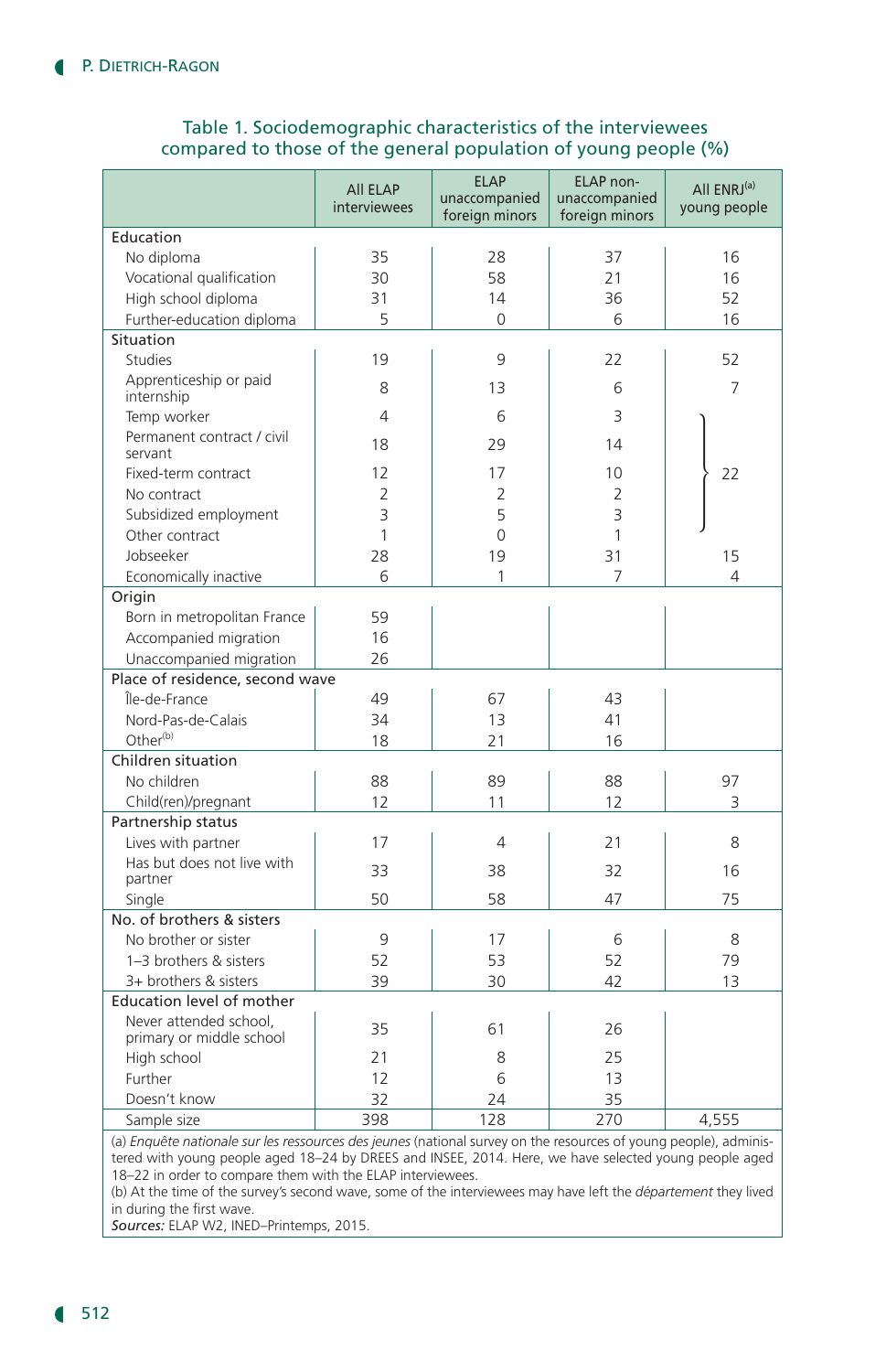### Table 1. Sociodemographic characteristics of the interviewees compared to those of the general population of young people (%)

|                                                                                                                  | All ELAP<br><b>interviewees</b> | <b>ELAP</b><br>unaccompanied<br>foreign minors | <b>ELAP</b> non-<br>unaccompanied<br>foreign minors | All ENRJ <sup>(a)</sup><br>young people |  |  |  |
|------------------------------------------------------------------------------------------------------------------|---------------------------------|------------------------------------------------|-----------------------------------------------------|-----------------------------------------|--|--|--|
| Education                                                                                                        |                                 |                                                |                                                     |                                         |  |  |  |
| No diploma                                                                                                       | 35                              | 28                                             | 37                                                  | 16                                      |  |  |  |
| Vocational qualification                                                                                         | 30                              | 58                                             | 21                                                  | 16                                      |  |  |  |
| High school diploma                                                                                              | 31                              | 14                                             | 36                                                  | 52                                      |  |  |  |
| Further-education diploma                                                                                        | 5                               | $\Omega$                                       | 6                                                   | 16                                      |  |  |  |
| Situation                                                                                                        |                                 |                                                |                                                     |                                         |  |  |  |
| <b>Studies</b>                                                                                                   | 19                              | 9                                              | 22                                                  | 52                                      |  |  |  |
| Apprenticeship or paid<br>internship                                                                             | 8                               | 13                                             | 6                                                   | 7                                       |  |  |  |
| Temp worker                                                                                                      | $\overline{4}$                  | 6                                              | 3                                                   |                                         |  |  |  |
| Permanent contract / civil<br>servant                                                                            | 18                              | 29                                             | 14                                                  |                                         |  |  |  |
| Fixed-term contract                                                                                              | 12                              | 17                                             | 10                                                  | 22                                      |  |  |  |
| No contract                                                                                                      | $\overline{2}$                  | $\overline{2}$                                 | $\overline{2}$                                      |                                         |  |  |  |
| Subsidized employment                                                                                            | 3                               | 5                                              | 3                                                   |                                         |  |  |  |
| Other contract                                                                                                   | $\mathbf{1}$                    | $\overline{0}$                                 | 1                                                   |                                         |  |  |  |
| Jobseeker                                                                                                        | 28                              | 19                                             | 31                                                  | 15                                      |  |  |  |
| Economically inactive                                                                                            | 6                               | 1                                              | 7                                                   | 4                                       |  |  |  |
| Origin                                                                                                           |                                 |                                                |                                                     |                                         |  |  |  |
| Born in metropolitan France                                                                                      | 59                              |                                                |                                                     |                                         |  |  |  |
| Accompanied migration                                                                                            | 16                              |                                                |                                                     |                                         |  |  |  |
| Unaccompanied migration                                                                                          | 26                              |                                                |                                                     |                                         |  |  |  |
| Place of residence, second wave                                                                                  |                                 |                                                |                                                     |                                         |  |  |  |
| Île-de-France                                                                                                    | 49                              | 67                                             | 43                                                  |                                         |  |  |  |
| Nord-Pas-de-Calais                                                                                               | 34                              | 13                                             | 41                                                  |                                         |  |  |  |
| Other <sup>(b)</sup>                                                                                             | 18                              | 21                                             | 16                                                  |                                         |  |  |  |
| Children situation                                                                                               |                                 |                                                |                                                     |                                         |  |  |  |
| No children                                                                                                      | 88                              | 89                                             | 88                                                  | 97                                      |  |  |  |
| Child(ren)/pregnant                                                                                              | 12                              | 11                                             | 12                                                  | 3                                       |  |  |  |
| Partnership status                                                                                               |                                 |                                                |                                                     |                                         |  |  |  |
| Lives with partner                                                                                               | 17                              | $\overline{4}$                                 | 21                                                  | 8                                       |  |  |  |
| Has but does not live with<br>partner                                                                            | 33                              | 38                                             | 32                                                  | 16                                      |  |  |  |
| Single                                                                                                           | 50                              | 58                                             | 47                                                  | 75                                      |  |  |  |
| No. of brothers & sisters                                                                                        |                                 |                                                |                                                     |                                         |  |  |  |
| No brother or sister                                                                                             | 9                               | 17                                             | 6                                                   | 8                                       |  |  |  |
| 1-3 brothers & sisters                                                                                           | 52                              | 53                                             | 52                                                  | 79                                      |  |  |  |
| 3+ brothers & sisters                                                                                            | 39                              | 30                                             | 42                                                  | 13                                      |  |  |  |
| Education level of mother                                                                                        |                                 |                                                |                                                     |                                         |  |  |  |
| Never attended school,<br>primary or middle school                                                               | 35                              | 61                                             | 26                                                  |                                         |  |  |  |
| High school                                                                                                      | 21                              | 8                                              | 25                                                  |                                         |  |  |  |
| Further                                                                                                          | 12                              | 6                                              | 13                                                  |                                         |  |  |  |
| Doesn't know                                                                                                     | 32                              | 24                                             | 35                                                  |                                         |  |  |  |
| Sample size                                                                                                      | 398                             | 128                                            | 270                                                 | 4,555                                   |  |  |  |
| (a) Enquête nationale sur les ressources des jeunes (national survey on the resources of young people), adminis- |                                 |                                                |                                                     |                                         |  |  |  |

(a) *Enquête nationale sur les ressources des jeunes* (national survey on the resources of young people), administered with young people aged 18–24 by DREES and INSEE, 2014. Here, we have selected young people aged 18–22 in order to compare them with the ELAP interviewees.

(b) At the time of the survey's second wave, some of the interviewees may have left the *département* they lived in during the first wave.

*Sources:* ELAP W2, INED–Printemps, 2015.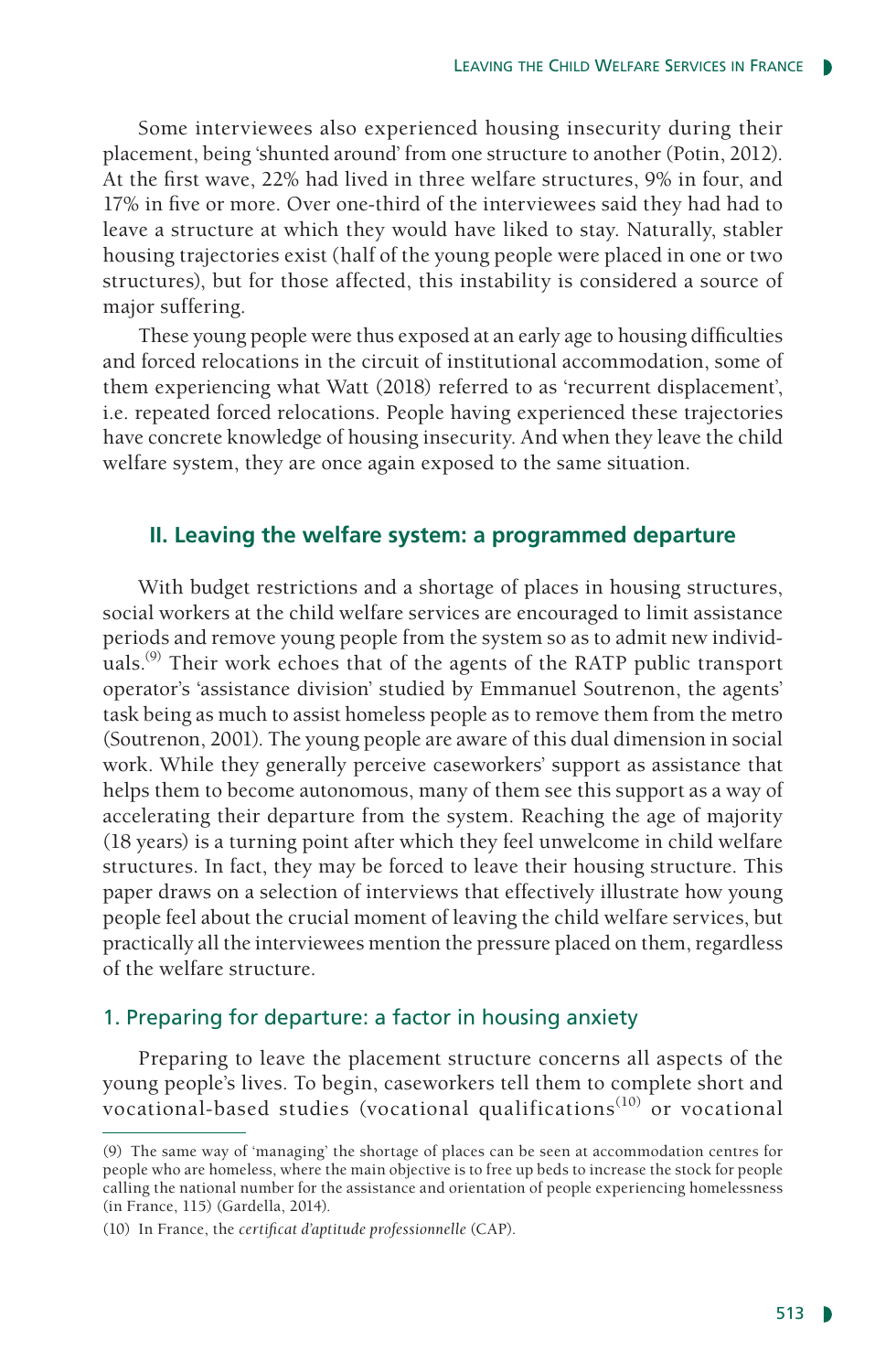Some interviewees also experienced housing insecurity during their placement, being 'shunted around' from one structure to another (Potin, 2012). At the first wave, 22% had lived in three welfare structures, 9% in four, and 17% in five or more. Over one-third of the interviewees said they had had to leave a structure at which they would have liked to stay. Naturally, stabler housing trajectories exist (half of the young people were placed in one or two structures), but for those affected, this instability is considered a source of major suffering.

These young people were thus exposed at an early age to housing difficulties and forced relocations in the circuit of institutional accommodation, some of them experiencing what Watt (2018) referred to as 'recurrent displacement', i.e. repeated forced relocations. People having experienced these trajectories have concrete knowledge of housing insecurity. And when they leave the child welfare system, they are once again exposed to the same situation.

#### **II. Leaving the welfare system: a programmed departure**

With budget restrictions and a shortage of places in housing structures, social workers at the child welfare services are encouraged to limit assistance periods and remove young people from the system so as to admit new individuals.<sup>(9)</sup> Their work echoes that of the agents of the RATP public transport operator's 'assistance division' studied by Emmanuel Soutrenon, the agents' task being as much to assist homeless people as to remove them from the metro (Soutrenon, 2001). The young people are aware of this dual dimension in social work. While they generally perceive caseworkers' support as assistance that helps them to become autonomous, many of them see this support as a way of accelerating their departure from the system. Reaching the age of majority (18 years) is a turning point after which they feel unwelcome in child welfare structures. In fact, they may be forced to leave their housing structure. This paper draws on a selection of interviews that effectively illustrate how young people feel about the crucial moment of leaving the child welfare services, but practically all the interviewees mention the pressure placed on them, regardless of the welfare structure.

#### 1. Preparing for departure: a factor in housing anxiety

Preparing to leave the placement structure concerns all aspects of the young people's lives. To begin, caseworkers tell them to complete short and vocational-based studies (vocational qualifications<sup>(10)</sup> or vocational

<sup>(9)</sup> The same way of 'managing' the shortage of places can be seen at accommodation centres for people who are homeless, where the main objective is to free up beds to increase the stock for people calling the national number for the assistance and orientation of people experiencing homelessness (in France, 115) (Gardella, 2014).

<sup>(10)</sup> In France, the *certificat d'aptitude professionnelle* (CAP).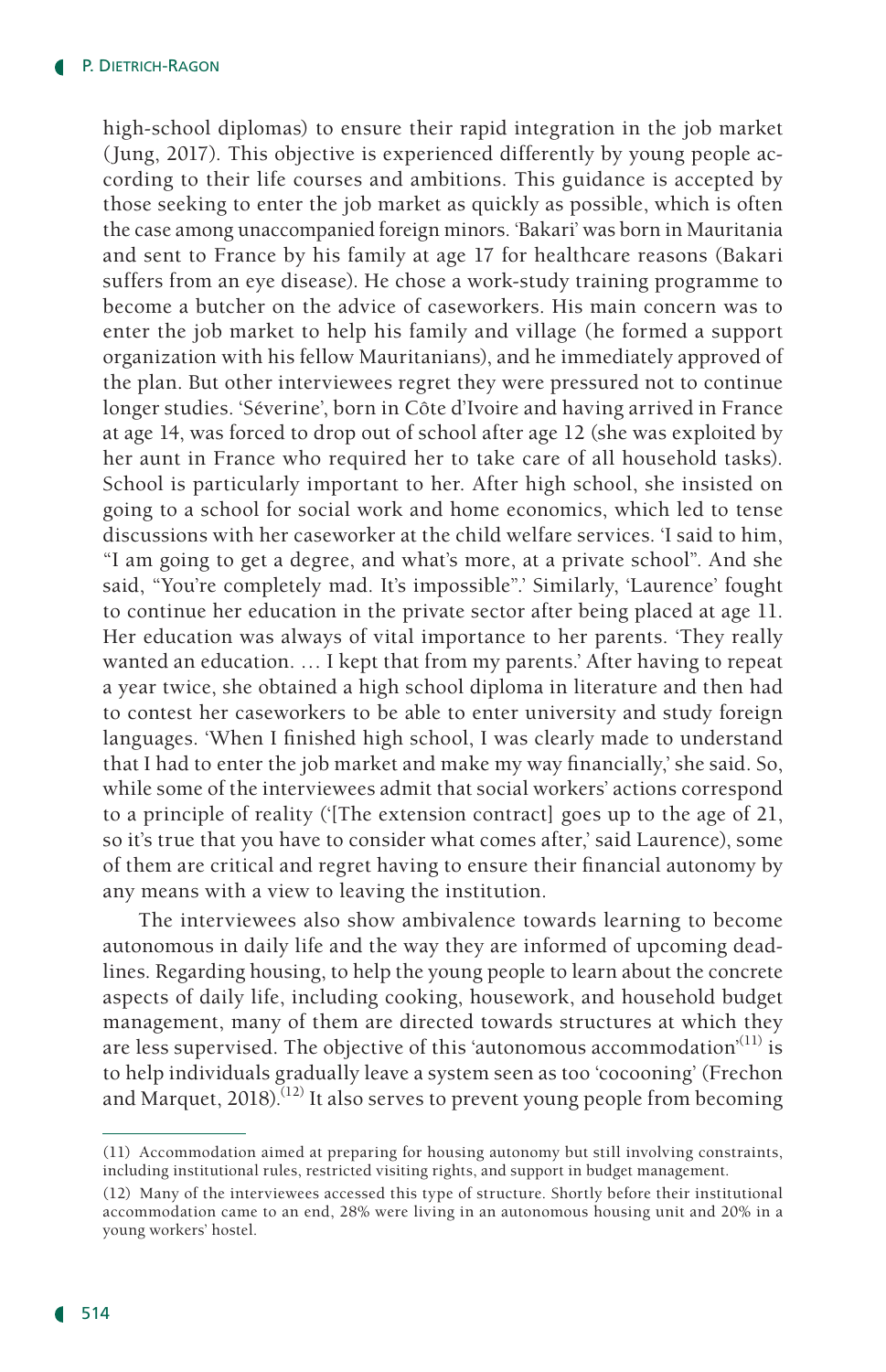high-school diplomas) to ensure their rapid integration in the job market (Jung, 2017). This objective is experienced differently by young people according to their life courses and ambitions. This guidance is accepted by those seeking to enter the job market as quickly as possible, which is often the case among unaccompanied foreign minors. 'Bakari' was born in Mauritania and sent to France by his family at age 17 for healthcare reasons (Bakari suffers from an eye disease). He chose a work-study training programme to become a butcher on the advice of caseworkers. His main concern was to enter the job market to help his family and village (he formed a support organization with his fellow Mauritanians), and he immediately approved of the plan. But other interviewees regret they were pressured not to continue longer studies. 'Séverine', born in Côte d'Ivoire and having arrived in France at age 14, was forced to drop out of school after age 12 (she was exploited by her aunt in France who required her to take care of all household tasks). School is particularly important to her. After high school, she insisted on going to a school for social work and home economics, which led to tense discussions with her caseworker at the child welfare services. 'I said to him, "I am going to get a degree, and what's more, at a private school". And she said, "You're completely mad. It's impossible".' Similarly, 'Laurence' fought to continue her education in the private sector after being placed at age 11. Her education was always of vital importance to her parents. 'They really wanted an education. … I kept that from my parents.' After having to repeat a year twice, she obtained a high school diploma in literature and then had to contest her caseworkers to be able to enter university and study foreign languages. 'When I finished high school, I was clearly made to understand that I had to enter the job market and make my way financially,' she said. So, while some of the interviewees admit that social workers' actions correspond to a principle of reality ('[The extension contract] goes up to the age of 21, so it's true that you have to consider what comes after,' said Laurence), some of them are critical and regret having to ensure their financial autonomy by any means with a view to leaving the institution.

The interviewees also show ambivalence towards learning to become autonomous in daily life and the way they are informed of upcoming deadlines. Regarding housing, to help the young people to learn about the concrete aspects of daily life, including cooking, housework, and household budget management, many of them are directed towards structures at which they are less supervised. The objective of this 'autonomous accommodation'<sup>(11)</sup> is to help individuals gradually leave a system seen as too 'cocooning' (Frechon and Marquet,  $2018$ <sup>[12]</sup> It also serves to prevent young people from becoming

<sup>(11)</sup> Accommodation aimed at preparing for housing autonomy but still involving constraints, including institutional rules, restricted visiting rights, and support in budget management.

<sup>(12)</sup> Many of the interviewees accessed this type of structure. Shortly before their institutional accommodation came to an end, 28% were living in an autonomous housing unit and 20% in a young workers' hostel.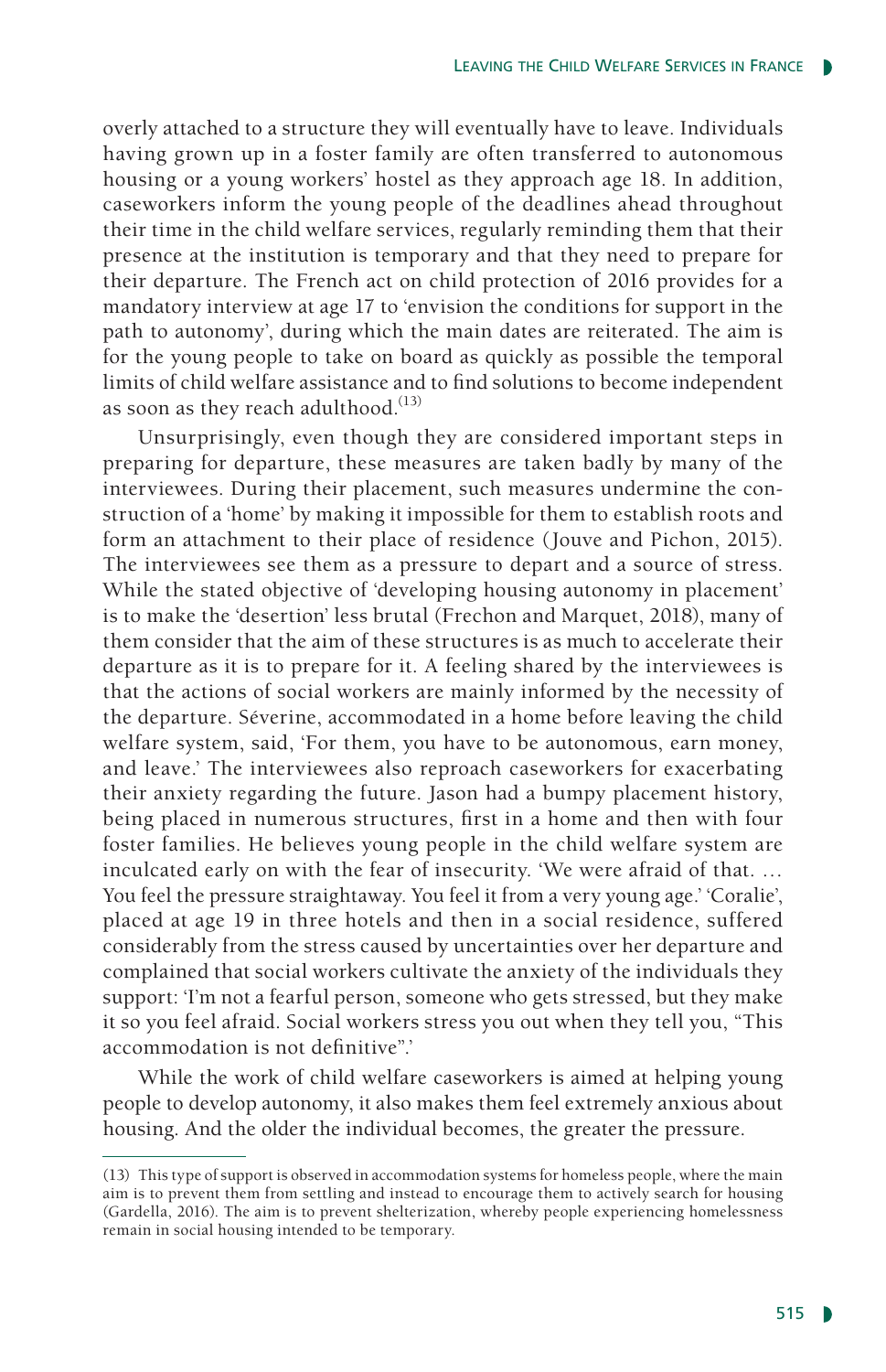overly attached to a structure they will eventually have to leave. Individuals having grown up in a foster family are often transferred to autonomous housing or a young workers' hostel as they approach age 18. In addition, caseworkers inform the young people of the deadlines ahead throughout their time in the child welfare services, regularly reminding them that their presence at the institution is temporary and that they need to prepare for their departure. The French act on child protection of 2016 provides for a mandatory interview at age 17 to 'envision the conditions for support in the path to autonomy', during which the main dates are reiterated. The aim is for the young people to take on board as quickly as possible the temporal limits of child welfare assistance and to find solutions to become independent as soon as they reach adulthood. $(13)$ 

Unsurprisingly, even though they are considered important steps in preparing for departure, these measures are taken badly by many of the interviewees. During their placement, such measures undermine the construction of a 'home' by making it impossible for them to establish roots and form an attachment to their place of residence (Jouve and Pichon, 2015). The interviewees see them as a pressure to depart and a source of stress. While the stated objective of 'developing housing autonomy in placement' is to make the 'desertion' less brutal (Frechon and Marquet, 2018), many of them consider that the aim of these structures is as much to accelerate their departure as it is to prepare for it. A feeling shared by the interviewees is that the actions of social workers are mainly informed by the necessity of the departure. Séverine, accommodated in a home before leaving the child welfare system, said, 'For them, you have to be autonomous, earn money, and leave.' The interviewees also reproach caseworkers for exacerbating their anxiety regarding the future. Jason had a bumpy placement history, being placed in numerous structures, first in a home and then with four foster families. He believes young people in the child welfare system are inculcated early on with the fear of insecurity. 'We were afraid of that. … You feel the pressure straightaway. You feel it from a very young age.' 'Coralie', placed at age 19 in three hotels and then in a social residence, suffered considerably from the stress caused by uncertainties over her departure and complained that social workers cultivate the anxiety of the individuals they support: 'I'm not a fearful person, someone who gets stressed, but they make it so you feel afraid. Social workers stress you out when they tell you, "This accommodation is not definitive".'

While the work of child welfare caseworkers is aimed at helping young people to develop autonomy, it also makes them feel extremely anxious about housing. And the older the individual becomes, the greater the pressure.

<sup>(13)</sup> This type of support is observed in accommodation systems for homeless people, where the main aim is to prevent them from settling and instead to encourage them to actively search for housing (Gardella, 2016). The aim is to prevent shelterization, whereby people experiencing homelessness remain in social housing intended to be temporary.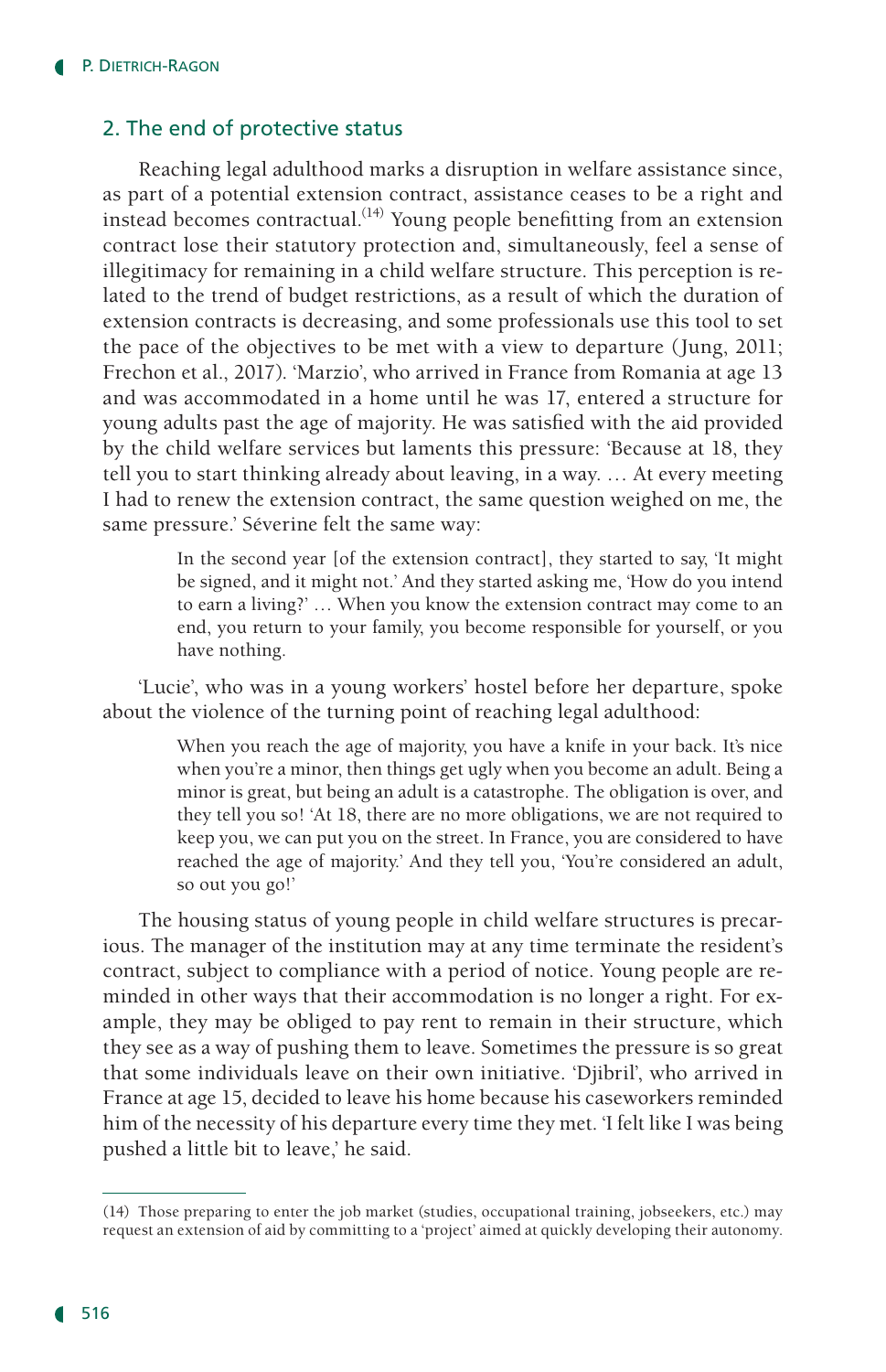### 2. The end of protective status

Reaching legal adulthood marks a disruption in welfare assistance since, as part of a potential extension contract, assistance ceases to be a right and instead becomes contractual.<sup> $(14)$ </sup> Young people benefitting from an extension contract lose their statutory protection and, simultaneously, feel a sense of illegitimacy for remaining in a child welfare structure. This perception is related to the trend of budget restrictions, as a result of which the duration of extension contracts is decreasing, and some professionals use this tool to set the pace of the objectives to be met with a view to departure (Jung, 2011; Frechon et al., 2017). 'Marzio', who arrived in France from Romania at age 13 and was accommodated in a home until he was 17, entered a structure for young adults past the age of majority. He was satisfied with the aid provided by the child welfare services but laments this pressure: 'Because at 18, they tell you to start thinking already about leaving, in a way. … At every meeting I had to renew the extension contract, the same question weighed on me, the same pressure.' Séverine felt the same way:

> In the second year [of the extension contract], they started to say, 'It might be signed, and it might not.' And they started asking me, 'How do you intend to earn a living?' … When you know the extension contract may come to an end, you return to your family, you become responsible for yourself, or you have nothing.

'Lucie', who was in a young workers' hostel before her departure, spoke about the violence of the turning point of reaching legal adulthood:

> When you reach the age of majority, you have a knife in your back. It's nice when you're a minor, then things get ugly when you become an adult. Being a minor is great, but being an adult is a catastrophe. The obligation is over, and they tell you so! 'At 18, there are no more obligations, we are not required to keep you, we can put you on the street. In France, you are considered to have reached the age of majority.' And they tell you, 'You're considered an adult, so out you go!'

The housing status of young people in child welfare structures is precarious. The manager of the institution may at any time terminate the resident's contract, subject to compliance with a period of notice. Young people are reminded in other ways that their accommodation is no longer a right. For example, they may be obliged to pay rent to remain in their structure, which they see as a way of pushing them to leave. Sometimes the pressure is so great that some individuals leave on their own initiative. 'Djibril', who arrived in France at age 15, decided to leave his home because his caseworkers reminded him of the necessity of his departure every time they met. 'I felt like I was being pushed a little bit to leave,' he said.

<sup>(14)</sup> Those preparing to enter the job market (studies, occupational training, jobseekers, etc.) may request an extension of aid by committing to a 'project' aimed at quickly developing their autonomy.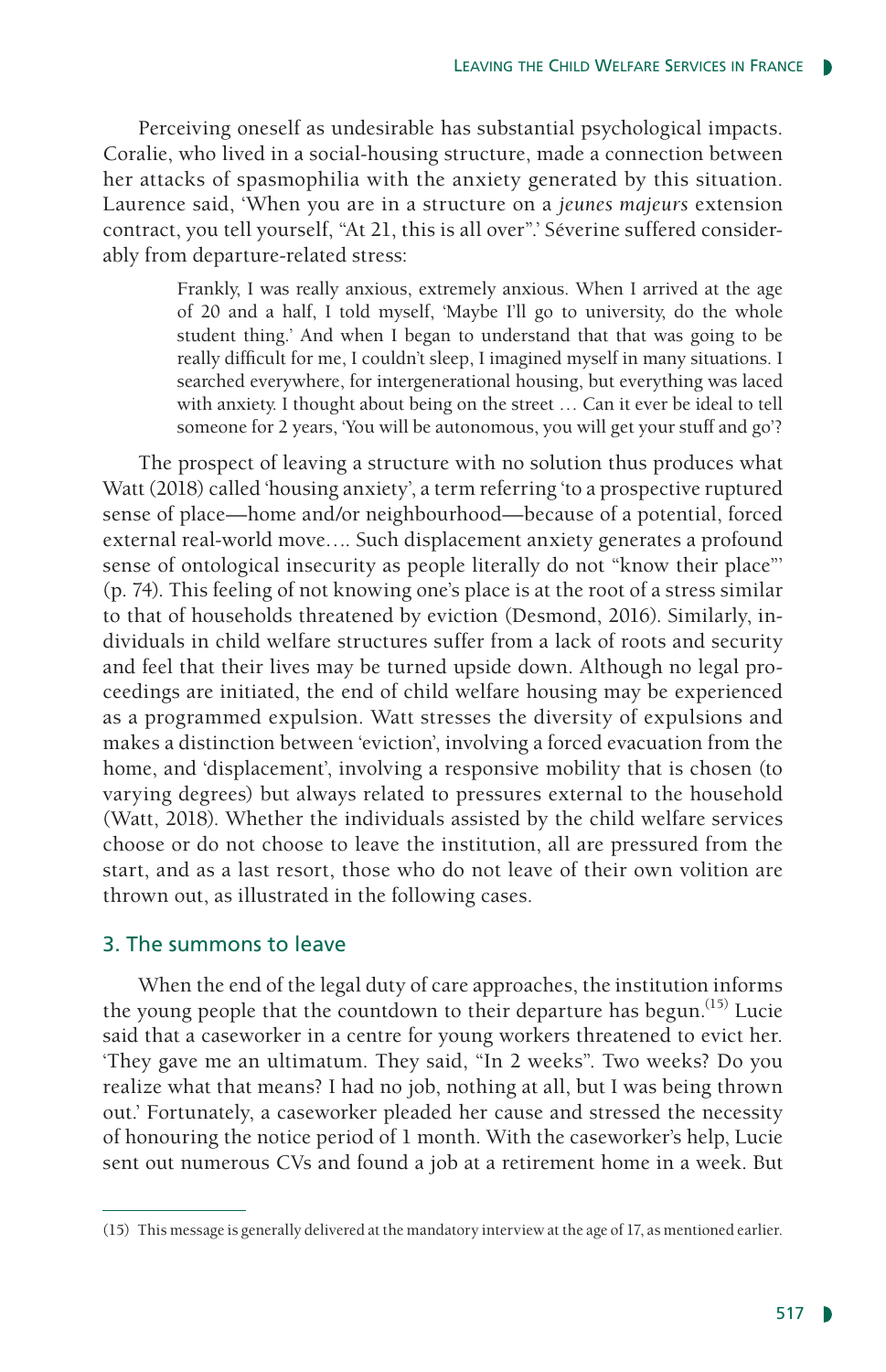Perceiving oneself as undesirable has substantial psychological impacts. Coralie, who lived in a social-housing structure, made a connection between her attacks of spasmophilia with the anxiety generated by this situation. Laurence said, 'When you are in a structure on a *jeunes majeurs* extension contract, you tell yourself, "At 21, this is all over".' Séverine suffered considerably from departure-related stress:

> Frankly, I was really anxious, extremely anxious. When I arrived at the age of 20 and a half, I told myself, 'Maybe I'll go to university, do the whole student thing.' And when I began to understand that that was going to be really difficult for me, I couldn't sleep, I imagined myself in many situations. I searched everywhere, for intergenerational housing, but everything was laced with anxiety. I thought about being on the street … Can it ever be ideal to tell someone for 2 years, 'You will be autonomous, you will get your stuff and go'?

The prospect of leaving a structure with no solution thus produces what Watt (2018) called 'housing anxiety', a term referring 'to a prospective ruptured sense of place—home and/or neighbourhood—because of a potential, forced external real-world move…. Such displacement anxiety generates a profound sense of ontological insecurity as people literally do not "know their place"' (p. 74). This feeling of not knowing one's place is at the root of a stress similar to that of households threatened by eviction (Desmond, 2016). Similarly, individuals in child welfare structures suffer from a lack of roots and security and feel that their lives may be turned upside down. Although no legal proceedings are initiated, the end of child welfare housing may be experienced as a programmed expulsion. Watt stresses the diversity of expulsions and makes a distinction between 'eviction', involving a forced evacuation from the home, and 'displacement', involving a responsive mobility that is chosen (to varying degrees) but always related to pressures external to the household (Watt, 2018). Whether the individuals assisted by the child welfare services choose or do not choose to leave the institution, all are pressured from the start, and as a last resort, those who do not leave of their own volition are thrown out, as illustrated in the following cases.

#### 3. The summons to leave

When the end of the legal duty of care approaches, the institution informs the young people that the countdown to their departure has begun.<sup> $(15)$ </sup> Lucie said that a caseworker in a centre for young workers threatened to evict her. 'They gave me an ultimatum. They said, "In 2 weeks". Two weeks? Do you realize what that means? I had no job, nothing at all, but I was being thrown out.' Fortunately, a caseworker pleaded her cause and stressed the necessity of honouring the notice period of 1 month. With the caseworker's help, Lucie sent out numerous CVs and found a job at a retirement home in a week. But

<sup>(15)</sup> This message is generally delivered at the mandatory interview at the age of 17, as mentioned earlier.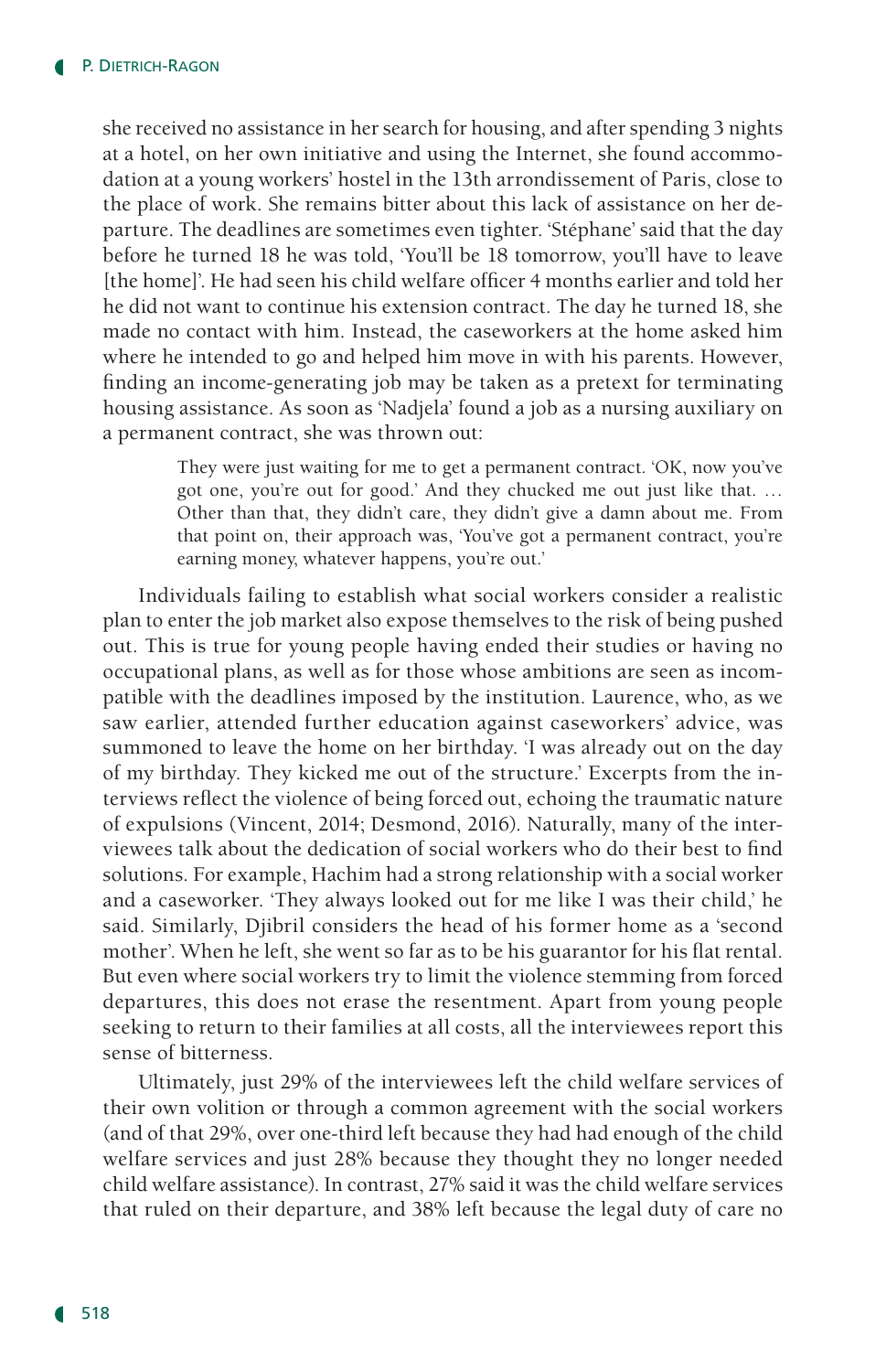she received no assistance in her search for housing, and after spending 3 nights at a hotel, on her own initiative and using the Internet, she found accommodation at a young workers' hostel in the 13th arrondissement of Paris, close to the place of work. She remains bitter about this lack of assistance on her departure. The deadlines are sometimes even tighter. 'Stéphane' said that the day before he turned 18 he was told, 'You'll be 18 tomorrow, you'll have to leave [the home]'. He had seen his child welfare officer 4 months earlier and told her he did not want to continue his extension contract. The day he turned 18, she made no contact with him. Instead, the caseworkers at the home asked him where he intended to go and helped him move in with his parents. However, finding an income-generating job may be taken as a pretext for terminating housing assistance. As soon as 'Nadjela' found a job as a nursing auxiliary on a permanent contract, she was thrown out:

> They were just waiting for me to get a permanent contract. 'OK, now you've got one, you're out for good.' And they chucked me out just like that. … Other than that, they didn't care, they didn't give a damn about me. From that point on, their approach was, 'You've got a permanent contract, you're earning money, whatever happens, you're out.'

Individuals failing to establish what social workers consider a realistic plan to enter the job market also expose themselves to the risk of being pushed out. This is true for young people having ended their studies or having no occupational plans, as well as for those whose ambitions are seen as incompatible with the deadlines imposed by the institution. Laurence, who, as we saw earlier, attended further education against caseworkers' advice, was summoned to leave the home on her birthday. 'I was already out on the day of my birthday. They kicked me out of the structure.' Excerpts from the interviews reflect the violence of being forced out, echoing the traumatic nature of expulsions (Vincent, 2014; Desmond, 2016). Naturally, many of the interviewees talk about the dedication of social workers who do their best to find solutions. For example, Hachim had a strong relationship with a social worker and a caseworker. 'They always looked out for me like I was their child,' he said. Similarly, Djibril considers the head of his former home as a 'second mother'. When he left, she went so far as to be his guarantor for his flat rental. But even where social workers try to limit the violence stemming from forced departures, this does not erase the resentment. Apart from young people seeking to return to their families at all costs, all the interviewees report this sense of bitterness.

Ultimately, just 29% of the interviewees left the child welfare services of their own volition or through a common agreement with the social workers (and of that 29%, over one-third left because they had had enough of the child welfare services and just 28% because they thought they no longer needed child welfare assistance). In contrast, 27% said it was the child welfare services that ruled on their departure, and 38% left because the legal duty of care no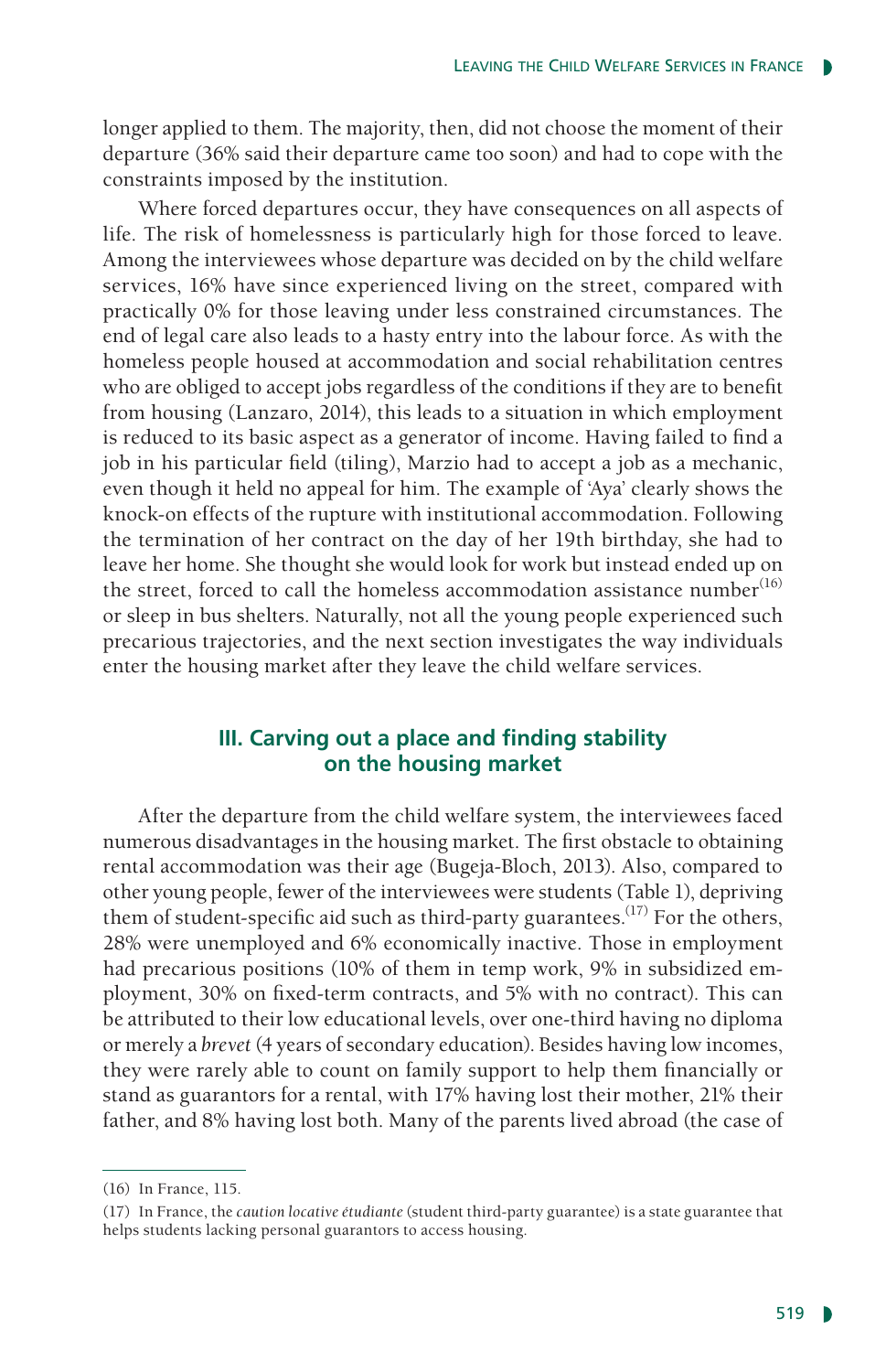longer applied to them. The majority, then, did not choose the moment of their departure (36% said their departure came too soon) and had to cope with the constraints imposed by the institution.

Where forced departures occur, they have consequences on all aspects of life. The risk of homelessness is particularly high for those forced to leave. Among the interviewees whose departure was decided on by the child welfare services, 16% have since experienced living on the street, compared with practically 0% for those leaving under less constrained circumstances. The end of legal care also leads to a hasty entry into the labour force. As with the homeless people housed at accommodation and social rehabilitation centres who are obliged to accept jobs regardless of the conditions if they are to benefit from housing (Lanzaro, 2014), this leads to a situation in which employment is reduced to its basic aspect as a generator of income. Having failed to find a job in his particular field (tiling), Marzio had to accept a job as a mechanic, even though it held no appeal for him. The example of 'Aya' clearly shows the knock-on effects of the rupture with institutional accommodation. Following the termination of her contract on the day of her 19th birthday, she had to leave her home. She thought she would look for work but instead ended up on the street, forced to call the homeless accommodation assistance number $(16)$ or sleep in bus shelters. Naturally, not all the young people experienced such precarious trajectories, and the next section investigates the way individuals enter the housing market after they leave the child welfare services.

# **III. Carving out a place and finding stability on the housing market**

After the departure from the child welfare system, the interviewees faced numerous disadvantages in the housing market. The first obstacle to obtaining rental accommodation was their age (Bugeja-Bloch, 2013). Also, compared to other young people, fewer of the interviewees were students (Table 1), depriving them of student-specific aid such as third-party guarantees.<sup> $(17)$ </sup> For the others, 28% were unemployed and 6% economically inactive. Those in employment had precarious positions (10% of them in temp work, 9% in subsidized employment, 30% on fixed-term contracts, and 5% with no contract). This can be attributed to their low educational levels, over one-third having no diploma or merely a *brevet* (4 years of secondary education). Besides having low incomes, they were rarely able to count on family support to help them financially or stand as guarantors for a rental, with 17% having lost their mother, 21% their father, and 8% having lost both. Many of the parents lived abroad (the case of

<sup>(16)</sup> In France, 115.

<sup>(17)</sup> In France, the *caution locative étudiante* (student third-party guarantee) is a state guarantee that helps students lacking personal guarantors to access housing.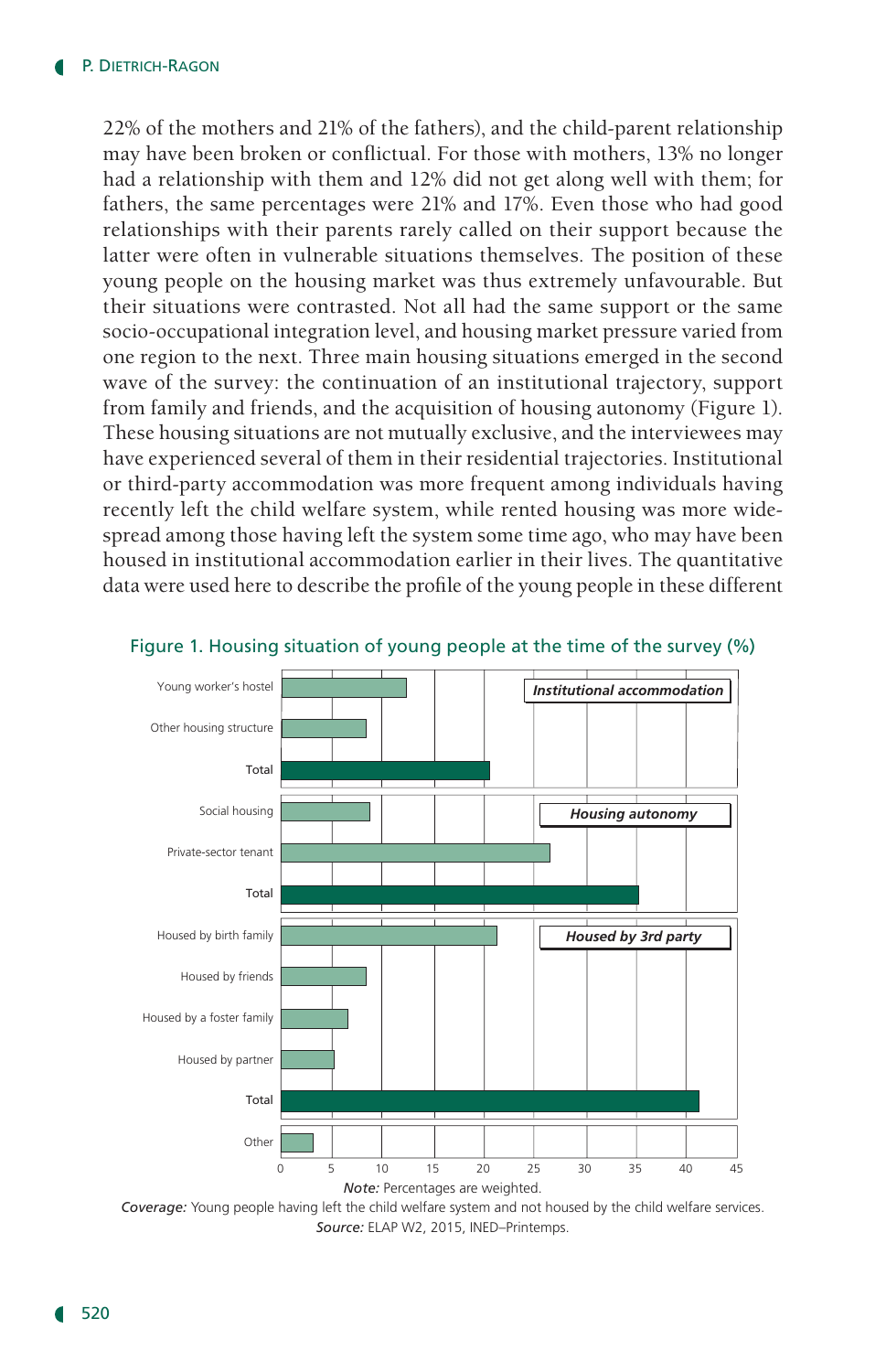22% of the mothers and 21% of the fathers), and the child-parent relationship may have been broken or conflictual. For those with mothers, 13% no longer had a relationship with them and 12% did not get along well with them; for fathers, the same percentages were 21% and 17%. Even those who had good relationships with their parents rarely called on their support because the latter were often in vulnerable situations themselves. The position of these young people on the housing market was thus extremely unfavourable. But their situations were contrasted. Not all had the same support or the same socio-occupational integration level, and housing market pressure varied from one region to the next. Three main housing situations emerged in the second wave of the survey: the continuation of an institutional trajectory, support from family and friends, and the acquisition of housing autonomy (Figure 1). These housing situations are not mutually exclusive, and the interviewees may have experienced several of them in their residential trajectories. Institutional or third-party accommodation was more frequent among individuals having recently left the child welfare system, while rented housing was more widespread among those having left the system some time ago, who may have been housed in institutional accommodation earlier in their lives. The quantitative data were used here to describe the profile of the young people in these different



#### Figure 1. Housing situation of young people at the time of the survey (%)

*Coverage:* Young people having left the child welfare system and not housed by the child welfare services. *Source:* ELAP W2, 2015, INED–Printemps.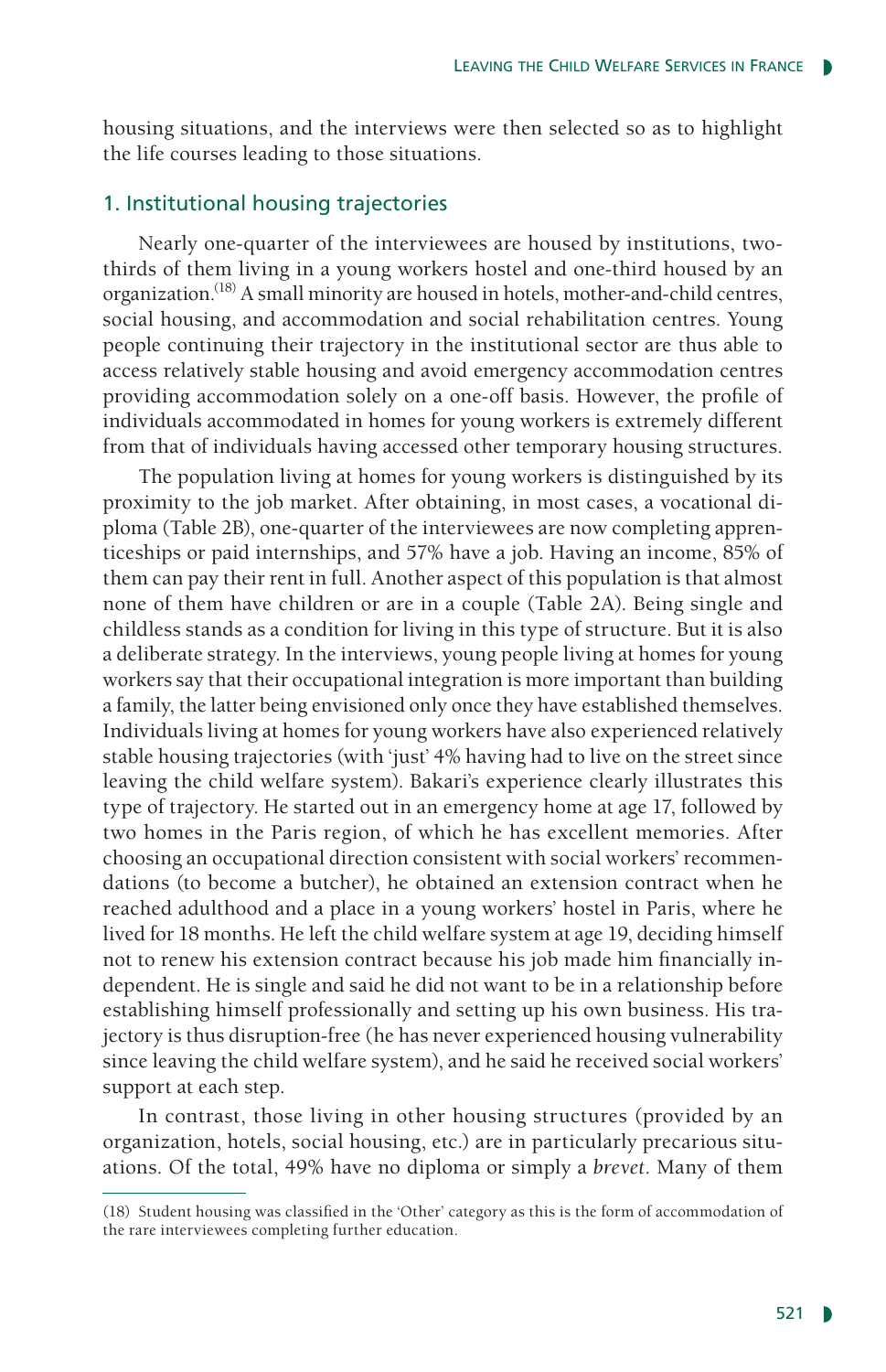housing situations, and the interviews were then selected so as to highlight the life courses leading to those situations.

#### 1. Institutional housing trajectories

Nearly one-quarter of the interviewees are housed by institutions, twothirds of them living in a young workers hostel and one-third housed by an organization.(18) A small minority are housed in hotels, mother-and-child centres, social housing, and accommodation and social rehabilitation centres. Young people continuing their trajectory in the institutional sector are thus able to access relatively stable housing and avoid emergency accommodation centres providing accommodation solely on a one-off basis. However, the profile of individuals accommodated in homes for young workers is extremely different from that of individuals having accessed other temporary housing structures.

The population living at homes for young workers is distinguished by its proximity to the job market. After obtaining, in most cases, a vocational diploma (Table 2B), one-quarter of the interviewees are now completing apprenticeships or paid internships, and 57% have a job. Having an income, 85% of them can pay their rent in full. Another aspect of this population is that almost none of them have children or are in a couple (Table 2A). Being single and childless stands as a condition for living in this type of structure. But it is also a deliberate strategy. In the interviews, young people living at homes for young workers say that their occupational integration is more important than building a family, the latter being envisioned only once they have established themselves. Individuals living at homes for young workers have also experienced relatively stable housing trajectories (with 'just' 4% having had to live on the street since leaving the child welfare system). Bakari's experience clearly illustrates this type of trajectory. He started out in an emergency home at age 17, followed by two homes in the Paris region, of which he has excellent memories. After choosing an occupational direction consistent with social workers' recommendations (to become a butcher), he obtained an extension contract when he reached adulthood and a place in a young workers' hostel in Paris, where he lived for 18 months. He left the child welfare system at age 19, deciding himself not to renew his extension contract because his job made him financially independent. He is single and said he did not want to be in a relationship before establishing himself professionally and setting up his own business. His trajectory is thus disruption-free (he has never experienced housing vulnerability since leaving the child welfare system), and he said he received social workers' support at each step.

In contrast, those living in other housing structures (provided by an organization, hotels, social housing, etc.) are in particularly precarious situations. Of the total, 49% have no diploma or simply a *brevet*. Many of them

<sup>(18)</sup> Student housing was classified in the 'Other' category as this is the form of accommodation of the rare interviewees completing further education.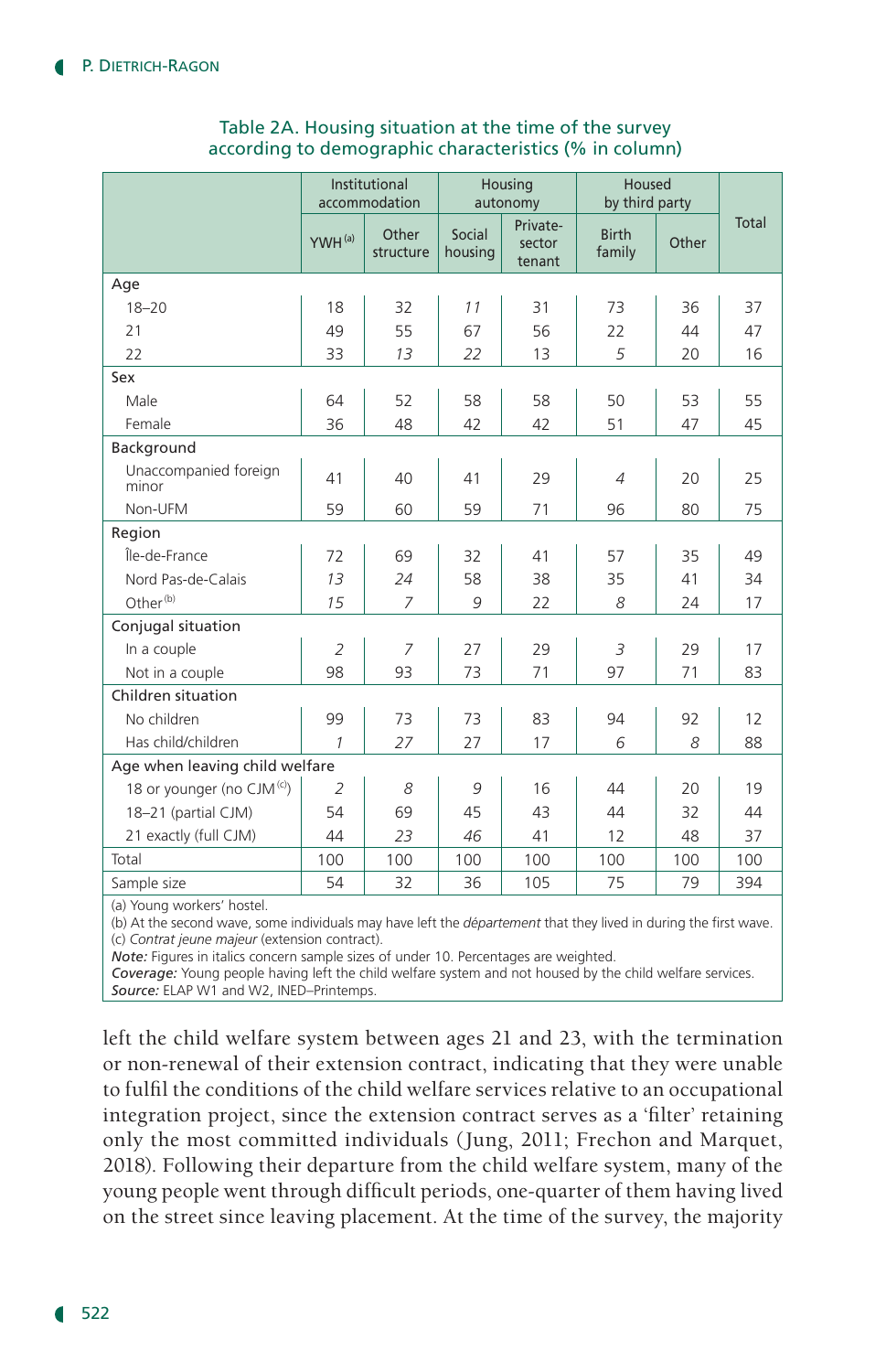|                                        | Institutional<br>accommodation |                    | Housing<br>autonomy |                              | Housed<br>by third party |       |       |
|----------------------------------------|--------------------------------|--------------------|---------------------|------------------------------|--------------------------|-------|-------|
|                                        | YWH <sup>(a)</sup>             | Other<br>structure | Social<br>housing   | Private-<br>sector<br>tenant | <b>Birth</b><br>family   | Other | Total |
| Age                                    |                                |                    |                     |                              |                          |       |       |
| $18 - 20$                              | 18                             | 32                 | 11                  | 31                           | 73                       | 36    | 37    |
| 21                                     | 49                             | 55                 | 67                  | 56                           | 22                       | 44    | 47    |
| 22                                     | 33                             | 13                 | 22                  | 13                           | 5                        | 20    | 16    |
| Sex                                    |                                |                    |                     |                              |                          |       |       |
| Male                                   | 64                             | 52                 | 58                  | 58                           | 50                       | 53    | 55    |
| Female                                 | 36                             | 48                 | 42                  | 42                           | 51                       | 47    | 45    |
| Background                             |                                |                    |                     |                              |                          |       |       |
| Unaccompanied foreign<br>minor         | 41                             | 40                 | 41                  | 29                           | $\overline{4}$           | 20    | 25    |
| Non-UFM                                | 59                             | 60                 | 59                  | 71                           | 96                       | 80    | 75    |
| Region                                 |                                |                    |                     |                              |                          |       |       |
| Île-de-France                          | 72                             | 69                 | 32                  | 41                           | 57                       | 35    | 49    |
| Nord Pas-de-Calais                     | 13                             | 24                 | 58                  | 38                           | 35                       | 41    | 34    |
| Other <sup>(b)</sup>                   | 15                             | $\overline{7}$     | 9                   | 22                           | 8                        | 24    | 17    |
| Conjugal situation                     |                                |                    |                     |                              |                          |       |       |
| In a couple                            | $\overline{2}$                 | $\overline{7}$     | 27                  | 29                           | 3                        | 29    | 17    |
| Not in a couple                        | 98                             | 93                 | 73                  | 71                           | 97                       | 71    | 83    |
| Children situation                     |                                |                    |                     |                              |                          |       |       |
| No children                            | 99                             | 73                 | 73                  | 83                           | 94                       | 92    | 12    |
| Has child/children                     | $\mathcal{I}$                  | 27                 | 27                  | 17                           | 6                        | 8     | 88    |
| Age when leaving child welfare         |                                |                    |                     |                              |                          |       |       |
| 18 or younger (no CJM <sup>(c)</sup> ) | $\overline{2}$                 | 8                  | 9                   | 16                           | 44                       | 20    | 19    |
| 18-21 (partial CJM)                    | 54                             | 69                 | 45                  | 43                           | 44                       | 32    | 44    |
| 21 exactly (full CJM)                  | 44                             | 23                 | 46                  | 41                           | 12                       | 48    | 37    |
| Total                                  | 100                            | 100                | 100                 | 100                          | 100                      | 100   | 100   |
| Sample size                            | 54                             | 32                 | 36                  | 105                          | 75                       | 79    | 394   |

#### Table 2A. Housing situation at the time of the survey according to demographic characteristics (% in column)

(a) Young workers' hostel.

(b) At the second wave, some individuals may have left the *département* that they lived in during the first wave. (c) *Contrat jeune majeur* (extension contract).

*Note:* Figures in italics concern sample sizes of under 10. Percentages are weighted.

*Coverage:* Young people having left the child welfare system and not housed by the child welfare services. *Source:* ELAP W1 and W2, INED–Printemps.

left the child welfare system between ages 21 and 23, with the termination or non-renewal of their extension contract, indicating that they were unable to fulfil the conditions of the child welfare services relative to an occupational integration project, since the extension contract serves as a 'filter' retaining only the most committed individuals (Jung, 2011; Frechon and Marquet, 2018). Following their departure from the child welfare system, many of the young people went through difficult periods, one-quarter of them having lived on the street since leaving placement. At the time of the survey, the majority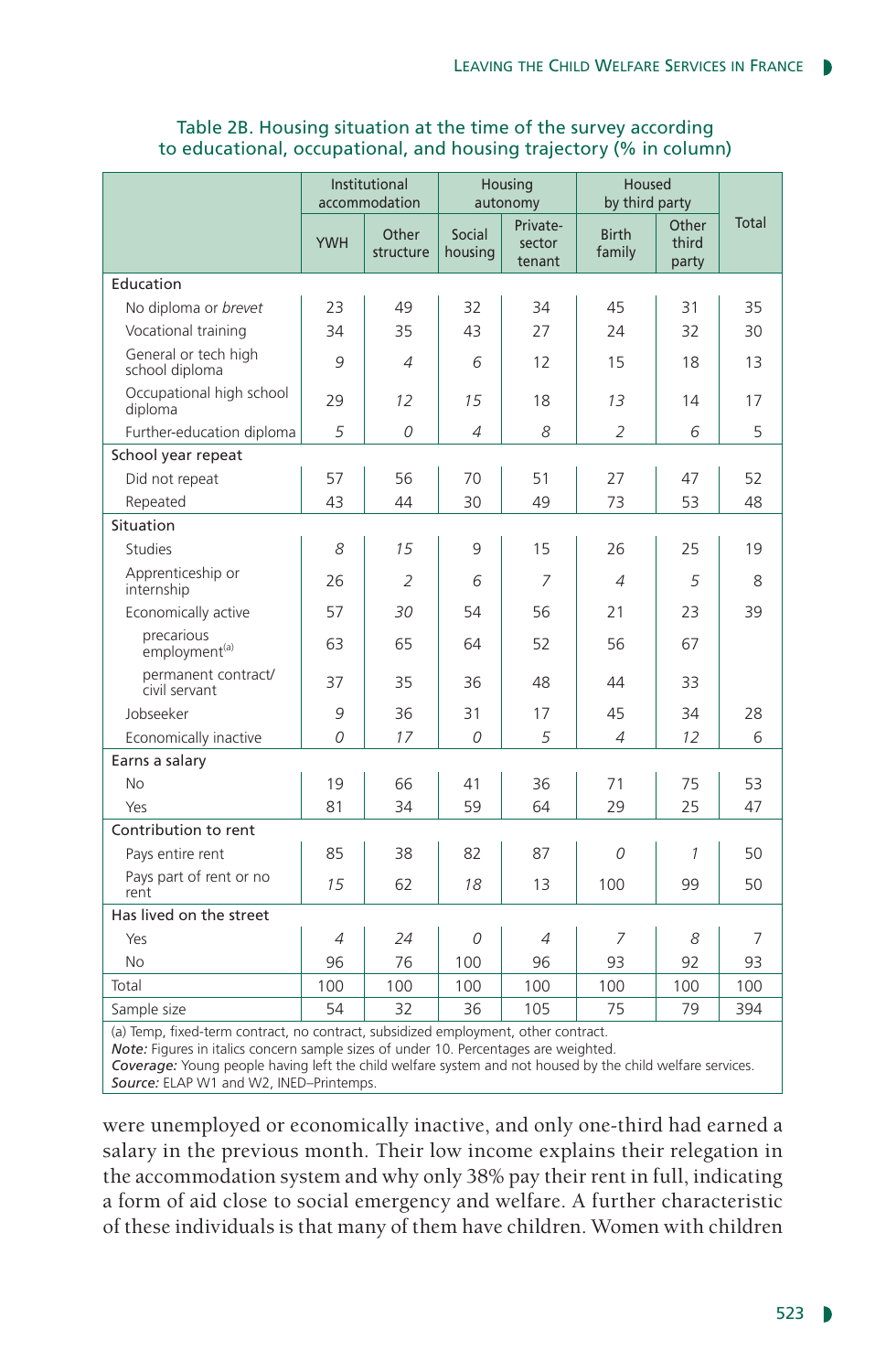|                                                                                    | Institutional<br>accommodation |                    | Housing<br>autonomy |                              | Housed<br>by third party |                         |       |
|------------------------------------------------------------------------------------|--------------------------------|--------------------|---------------------|------------------------------|--------------------------|-------------------------|-------|
|                                                                                    | <b>YWH</b>                     | Other<br>structure | Social<br>housing   | Private-<br>sector<br>tenant | <b>Birth</b><br>family   | Other<br>third<br>party | Total |
| Education                                                                          |                                |                    |                     |                              |                          |                         |       |
| No diploma or brevet                                                               | 23                             | 49                 | 32                  | 34                           | 45                       | 31                      | 35    |
| Vocational training                                                                | 34                             | 35                 | 43                  | 27                           | 24                       | 32                      | 30    |
| General or tech high<br>school diploma                                             | 9                              | 4                  | 6                   | 12                           | 15                       | 18                      | 13    |
| Occupational high school<br>diploma                                                | 29                             | 12                 | 15                  | 18                           | 13                       | 14                      | 17    |
| Further-education diploma                                                          | 5                              | 0                  | 4                   | 8                            | $\overline{2}$           | 6                       | 5     |
| School year repeat                                                                 |                                |                    |                     |                              |                          |                         |       |
| Did not repeat                                                                     | 57                             | 56                 | 70                  | 51                           | 27                       | 47                      | 52    |
| Repeated                                                                           | 43                             | 44                 | 30                  | 49                           | 73                       | 53                      | 48    |
| Situation                                                                          |                                |                    |                     |                              |                          |                         |       |
| <b>Studies</b>                                                                     | 8                              | 15                 | 9                   | 15                           | 26                       | 25                      | 19    |
| Apprenticeship or<br>internship                                                    | 26                             | 2                  | 6                   | 7                            | 4                        | 5                       | 8     |
| Economically active                                                                | 57                             | 30                 | 54                  | 56                           | 21                       | 23                      | 39    |
| precarious<br>employment <sup>(a)</sup>                                            | 63                             | 65                 | 64                  | 52                           | 56                       | 67                      |       |
| permanent contract/<br>civil servant                                               | 37                             | 35                 | 36                  | 48                           | 44                       | 33                      |       |
| Jobseeker                                                                          | 9                              | 36                 | 31                  | 17                           | 45                       | 34                      | 28    |
| Economically inactive                                                              | 0                              | 17                 | 0                   | 5                            | 4                        | 12                      | 6     |
| Earns a salary                                                                     |                                |                    |                     |                              |                          |                         |       |
| <b>No</b>                                                                          | 19                             | 66                 | 41                  | 36                           | 71                       | 75                      | 53    |
| Yes                                                                                | 81                             | 34                 | 59                  | 64                           | 29                       | 25                      | 47    |
| Contribution to rent                                                               |                                |                    |                     |                              |                          |                         |       |
| Pays entire rent                                                                   | 85                             | 38                 | 82                  | 87                           | 0                        | 1                       | 50    |
| Pays part of rent or no<br>rent                                                    | 15                             | 62                 | 18                  | 13                           | 100                      | 99                      | 50    |
| Has lived on the street                                                            |                                |                    |                     |                              |                          |                         |       |
| Yes                                                                                | 4                              | 24                 | 0                   | 4                            | 7                        | 8                       | 7     |
| <b>No</b>                                                                          | 96                             | 76                 | 100                 | 96                           | 93                       | 92                      | 93    |
| Total                                                                              | 100                            | 100                | 100                 | 100                          | 100                      | 100                     | 100   |
| Sample size                                                                        | 54                             | 32                 | 36                  | 105                          | 75                       | 79                      | 394   |
| (a) Temp, fixed-term contract, no contract, subsidized employment, other contract, |                                |                    |                     |                              |                          |                         |       |

#### Table 2B. Housing situation at the time of the survey according to educational, occupational, and housing trajectory (% in column)

(a) Temp, fixed-term contract, no contract, subsidized employment, other contract.

*Note:* Figures in italics concern sample sizes of under 10. Percentages are weighted.

*Coverage:* Young people having left the child welfare system and not housed by the child welfare services. *Source:* ELAP W1 and W2, INED–Printemps.

were unemployed or economically inactive, and only one-third had earned a salary in the previous month. Their low income explains their relegation in the accommodation system and why only 38% pay their rent in full, indicating a form of aid close to social emergency and welfare. A further characteristic of these individuals is that many of them have children. Women with children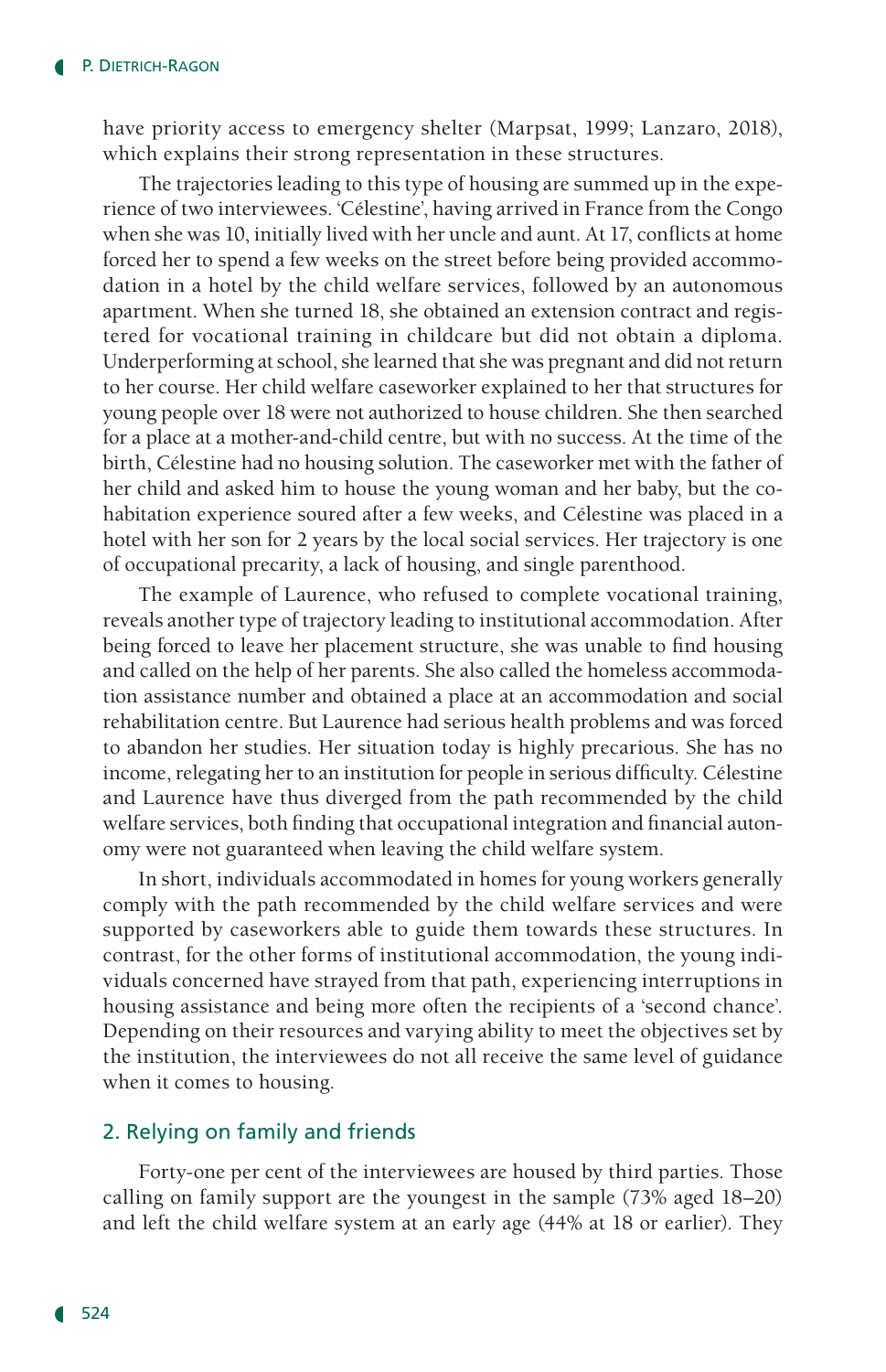have priority access to emergency shelter (Marpsat, 1999; Lanzaro, 2018), which explains their strong representation in these structures.

The trajectories leading to this type of housing are summed up in the experience of two interviewees. 'Célestine', having arrived in France from the Congo when she was 10, initially lived with her uncle and aunt. At 17, conflicts at home forced her to spend a few weeks on the street before being provided accommodation in a hotel by the child welfare services, followed by an autonomous apartment. When she turned 18, she obtained an extension contract and registered for vocational training in childcare but did not obtain a diploma. Underperforming at school, she learned that she was pregnant and did not return to her course. Her child welfare caseworker explained to her that structures for young people over 18 were not authorized to house children. She then searched for a place at a mother-and-child centre, but with no success. At the time of the birth, Célestine had no housing solution. The caseworker met with the father of her child and asked him to house the young woman and her baby, but the cohabitation experience soured after a few weeks, and Célestine was placed in a hotel with her son for 2 years by the local social services. Her trajectory is one of occupational precarity, a lack of housing, and single parenthood.

The example of Laurence, who refused to complete vocational training, reveals another type of trajectory leading to institutional accommodation. After being forced to leave her placement structure, she was unable to find housing and called on the help of her parents. She also called the homeless accommodation assistance number and obtained a place at an accommodation and social rehabilitation centre. But Laurence had serious health problems and was forced to abandon her studies. Her situation today is highly precarious. She has no income, relegating her to an institution for people in serious difficulty. Célestine and Laurence have thus diverged from the path recommended by the child welfare services, both finding that occupational integration and financial autonomy were not guaranteed when leaving the child welfare system.

In short, individuals accommodated in homes for young workers generally comply with the path recommended by the child welfare services and were supported by caseworkers able to guide them towards these structures. In contrast, for the other forms of institutional accommodation, the young individuals concerned have strayed from that path, experiencing interruptions in housing assistance and being more often the recipients of a 'second chance'. Depending on their resources and varying ability to meet the objectives set by the institution, the interviewees do not all receive the same level of guidance when it comes to housing.

## 2. Relying on family and friends

Forty-one per cent of the interviewees are housed by third parties. Those calling on family support are the youngest in the sample (73% aged 18–20) and left the child welfare system at an early age (44% at 18 or earlier). They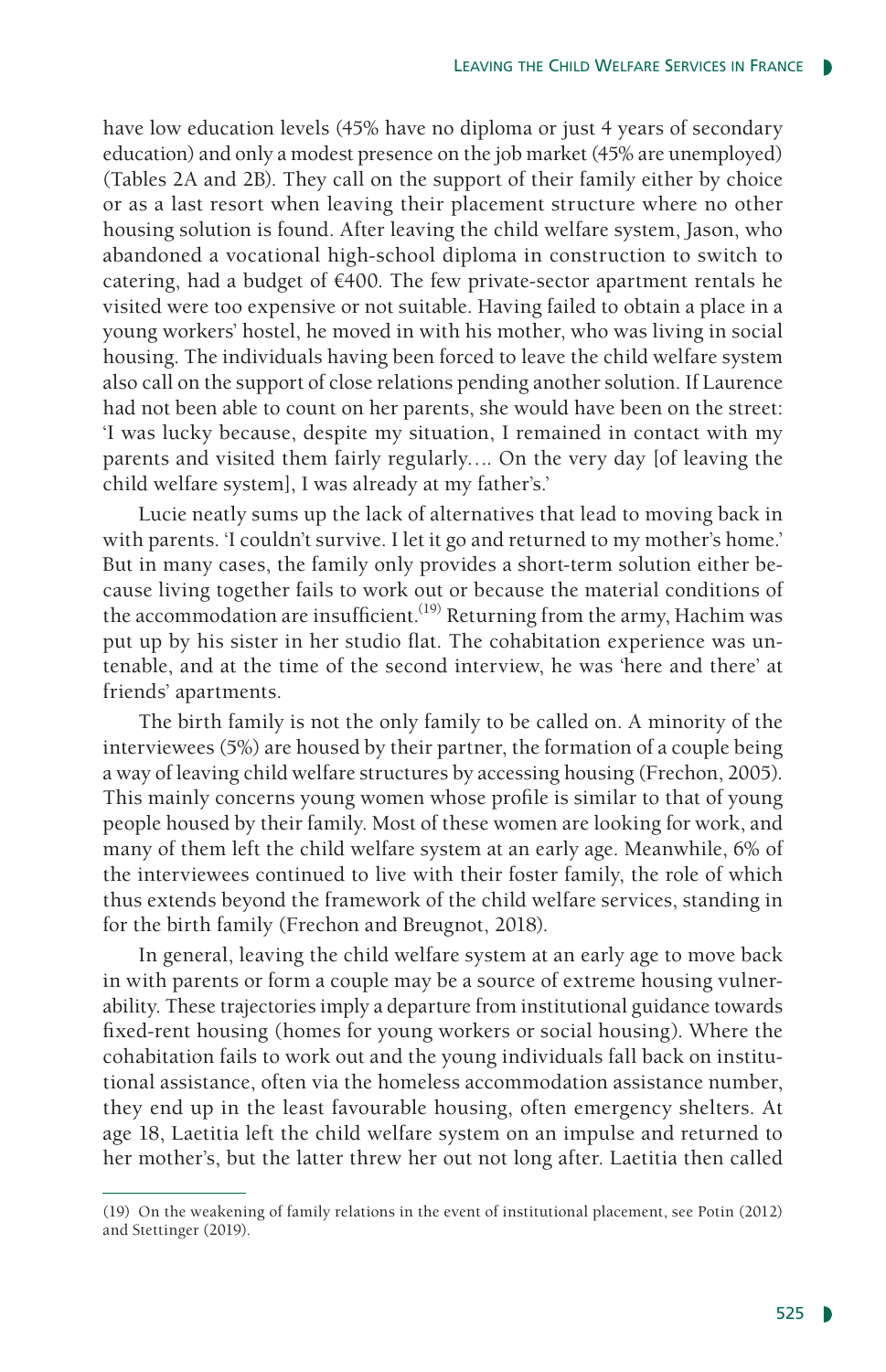have low education levels (45% have no diploma or just 4 years of secondary education) and only a modest presence on the job market (45% are unemployed) (Tables 2A and 2B). They call on the support of their family either by choice or as a last resort when leaving their placement structure where no other housing solution is found. After leaving the child welfare system, Jason, who abandoned a vocational high-school diploma in construction to switch to catering, had a budget of  $€400$ . The few private-sector apartment rentals he visited were too expensive or not suitable. Having failed to obtain a place in a young workers' hostel, he moved in with his mother, who was living in social housing. The individuals having been forced to leave the child welfare system also call on the support of close relations pending another solution. If Laurence had not been able to count on her parents, she would have been on the street: 'I was lucky because, despite my situation, I remained in contact with my parents and visited them fairly regularly…. On the very day [of leaving the child welfare system], I was already at my father's.'

Lucie neatly sums up the lack of alternatives that lead to moving back in with parents. 'I couldn't survive. I let it go and returned to my mother's home.' But in many cases, the family only provides a short-term solution either because living together fails to work out or because the material conditions of the accommodation are insufficient.<sup>(19)</sup> Returning from the army, Hachim was put up by his sister in her studio flat. The cohabitation experience was untenable, and at the time of the second interview, he was 'here and there' at friends' apartments.

The birth family is not the only family to be called on. A minority of the interviewees (5%) are housed by their partner, the formation of a couple being a way of leaving child welfare structures by accessing housing (Frechon, 2005). This mainly concerns young women whose profile is similar to that of young people housed by their family. Most of these women are looking for work, and many of them left the child welfare system at an early age. Meanwhile, 6% of the interviewees continued to live with their foster family, the role of which thus extends beyond the framework of the child welfare services, standing in for the birth family (Frechon and Breugnot, 2018).

In general, leaving the child welfare system at an early age to move back in with parents or form a couple may be a source of extreme housing vulnerability. These trajectories imply a departure from institutional guidance towards fixed-rent housing (homes for young workers or social housing). Where the cohabitation fails to work out and the young individuals fall back on institutional assistance, often via the homeless accommodation assistance number, they end up in the least favourable housing, often emergency shelters. At age 18, Laetitia left the child welfare system on an impulse and returned to her mother's, but the latter threw her out not long after. Laetitia then called

<sup>(19)</sup> On the weakening of family relations in the event of institutional placement, see Potin (2012) and Stettinger (2019).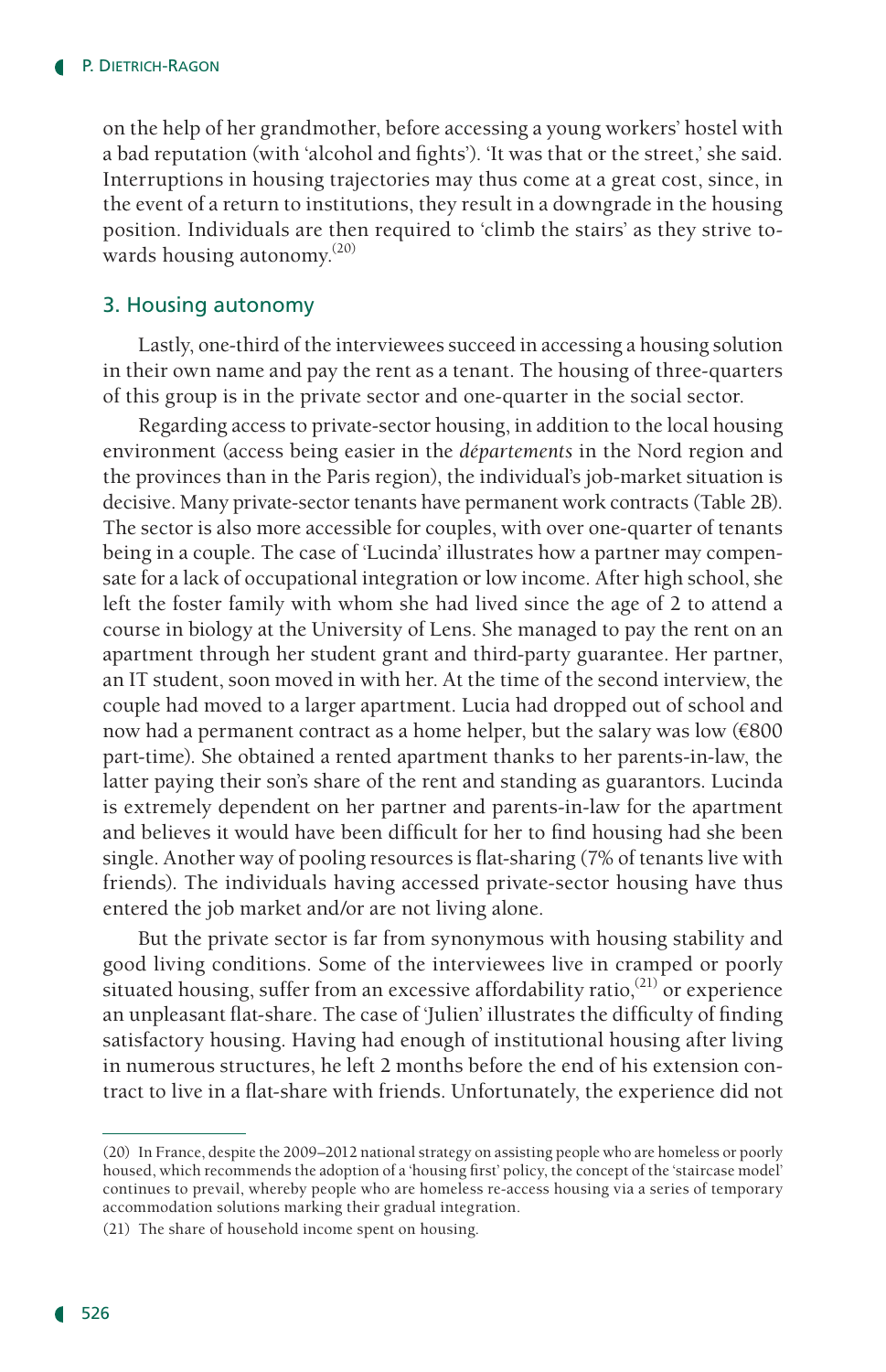on the help of her grandmother, before accessing a young workers' hostel with a bad reputation (with 'alcohol and fights'). 'It was that or the street,' she said. Interruptions in housing trajectories may thus come at a great cost, since, in the event of a return to institutions, they result in a downgrade in the housing position. Individuals are then required to 'climb the stairs' as they strive towards housing autonomy.(20)

#### 3. Housing autonomy

Lastly, one-third of the interviewees succeed in accessing a housing solution in their own name and pay the rent as a tenant. The housing of three-quarters of this group is in the private sector and one-quarter in the social sector.

Regarding access to private-sector housing, in addition to the local housing environment (access being easier in the *départements* in the Nord region and the provinces than in the Paris region), the individual's job-market situation is decisive. Many private-sector tenants have permanent work contracts (Table 2B). The sector is also more accessible for couples, with over one-quarter of tenants being in a couple. The case of 'Lucinda' illustrates how a partner may compensate for a lack of occupational integration or low income. After high school, she left the foster family with whom she had lived since the age of 2 to attend a course in biology at the University of Lens. She managed to pay the rent on an apartment through her student grant and third-party guarantee. Her partner, an IT student, soon moved in with her. At the time of the second interview, the couple had moved to a larger apartment. Lucia had dropped out of school and now had a permanent contract as a home helper, but the salary was low (€800 part-time). She obtained a rented apartment thanks to her parents-in-law, the latter paying their son's share of the rent and standing as guarantors. Lucinda is extremely dependent on her partner and parents-in-law for the apartment and believes it would have been difficult for her to find housing had she been single. Another way of pooling resources is flat-sharing (7% of tenants live with friends). The individuals having accessed private-sector housing have thus entered the job market and/or are not living alone.

But the private sector is far from synonymous with housing stability and good living conditions. Some of the interviewees live in cramped or poorly situated housing, suffer from an excessive affordability ratio,<sup>(21)</sup> or experience an unpleasant flat-share. The case of 'Julien' illustrates the difficulty of finding satisfactory housing. Having had enough of institutional housing after living in numerous structures, he left 2 months before the end of his extension contract to live in a flat-share with friends. Unfortunately, the experience did not

<sup>(20)</sup> In France, despite the 2009–2012 national strategy on assisting people who are homeless or poorly housed, which recommends the adoption of a 'housing first' policy, the concept of the 'staircase model' continues to prevail, whereby people who are homeless re-access housing via a series of temporary accommodation solutions marking their gradual integration.

<sup>(21)</sup> The share of household income spent on housing.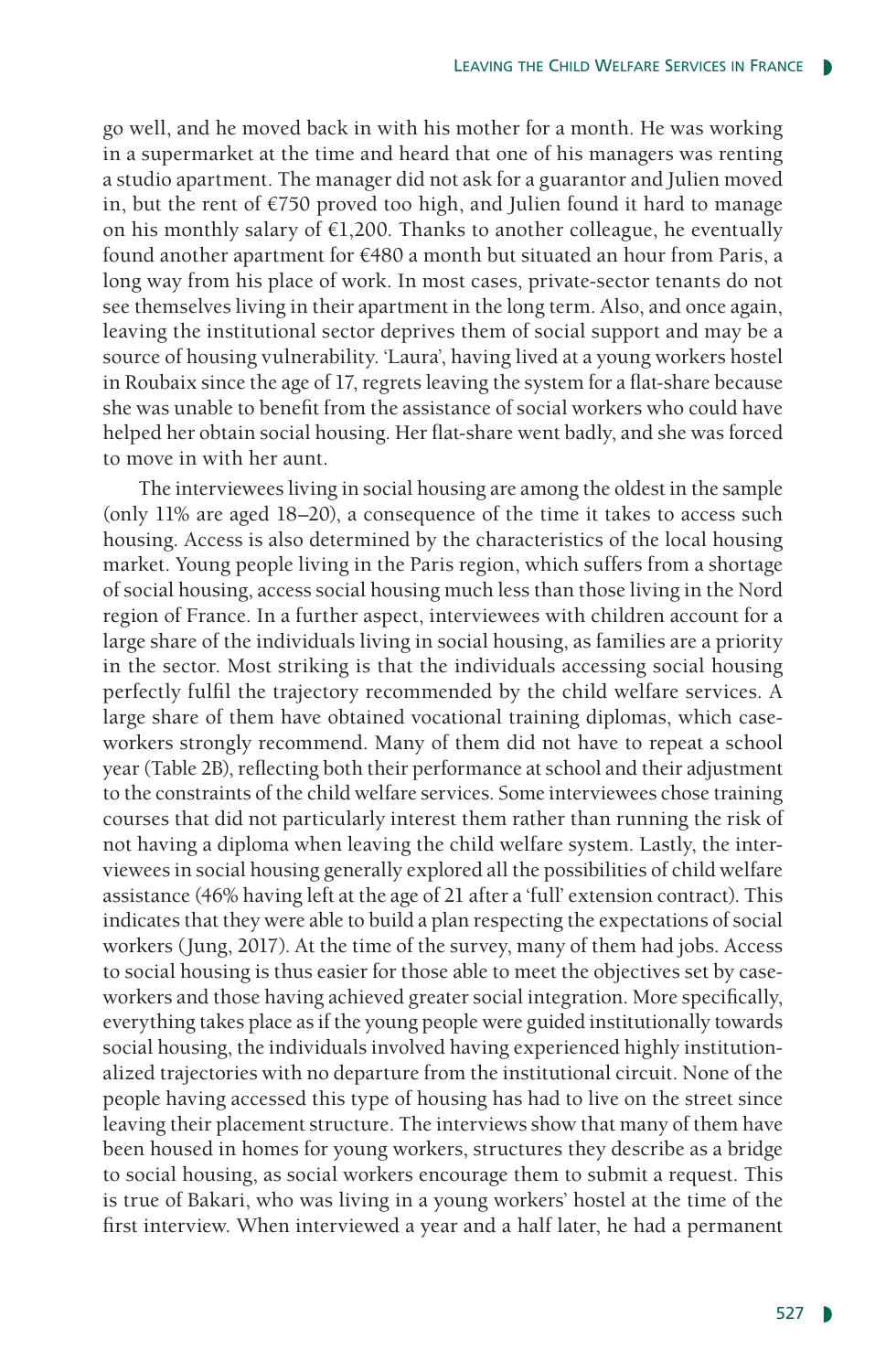go well, and he moved back in with his mother for a month. He was working in a supermarket at the time and heard that one of his managers was renting a studio apartment. The manager did not ask for a guarantor and Julien moved in, but the rent of €750 proved too high, and Julien found it hard to manage on his monthly salary of  $E1,200$ . Thanks to another colleague, he eventually found another apartment for €480 a month but situated an hour from Paris, a long way from his place of work. In most cases, private-sector tenants do not see themselves living in their apartment in the long term. Also, and once again, leaving the institutional sector deprives them of social support and may be a source of housing vulnerability. 'Laura', having lived at a young workers hostel in Roubaix since the age of 17, regrets leaving the system for a flat-share because she was unable to benefit from the assistance of social workers who could have helped her obtain social housing. Her flat-share went badly, and she was forced to move in with her aunt.

The interviewees living in social housing are among the oldest in the sample (only 11% are aged 18–20), a consequence of the time it takes to access such housing. Access is also determined by the characteristics of the local housing market. Young people living in the Paris region, which suffers from a shortage of social housing, access social housing much less than those living in the Nord region of France. In a further aspect, interviewees with children account for a large share of the individuals living in social housing, as families are a priority in the sector. Most striking is that the individuals accessing social housing perfectly fulfil the trajectory recommended by the child welfare services. A large share of them have obtained vocational training diplomas, which caseworkers strongly recommend. Many of them did not have to repeat a school year (Table 2B), reflecting both their performance at school and their adjustment to the constraints of the child welfare services. Some interviewees chose training courses that did not particularly interest them rather than running the risk of not having a diploma when leaving the child welfare system. Lastly, the interviewees in social housing generally explored all the possibilities of child welfare assistance (46% having left at the age of 21 after a 'full' extension contract). This indicates that they were able to build a plan respecting the expectations of social workers (Jung, 2017). At the time of the survey, many of them had jobs. Access to social housing is thus easier for those able to meet the objectives set by caseworkers and those having achieved greater social integration. More specifically, everything takes place as if the young people were guided institutionally towards social housing, the individuals involved having experienced highly institutionalized trajectories with no departure from the institutional circuit. None of the people having accessed this type of housing has had to live on the street since leaving their placement structure. The interviews show that many of them have been housed in homes for young workers, structures they describe as a bridge to social housing, as social workers encourage them to submit a request. This is true of Bakari, who was living in a young workers' hostel at the time of the first interview. When interviewed a year and a half later, he had a permanent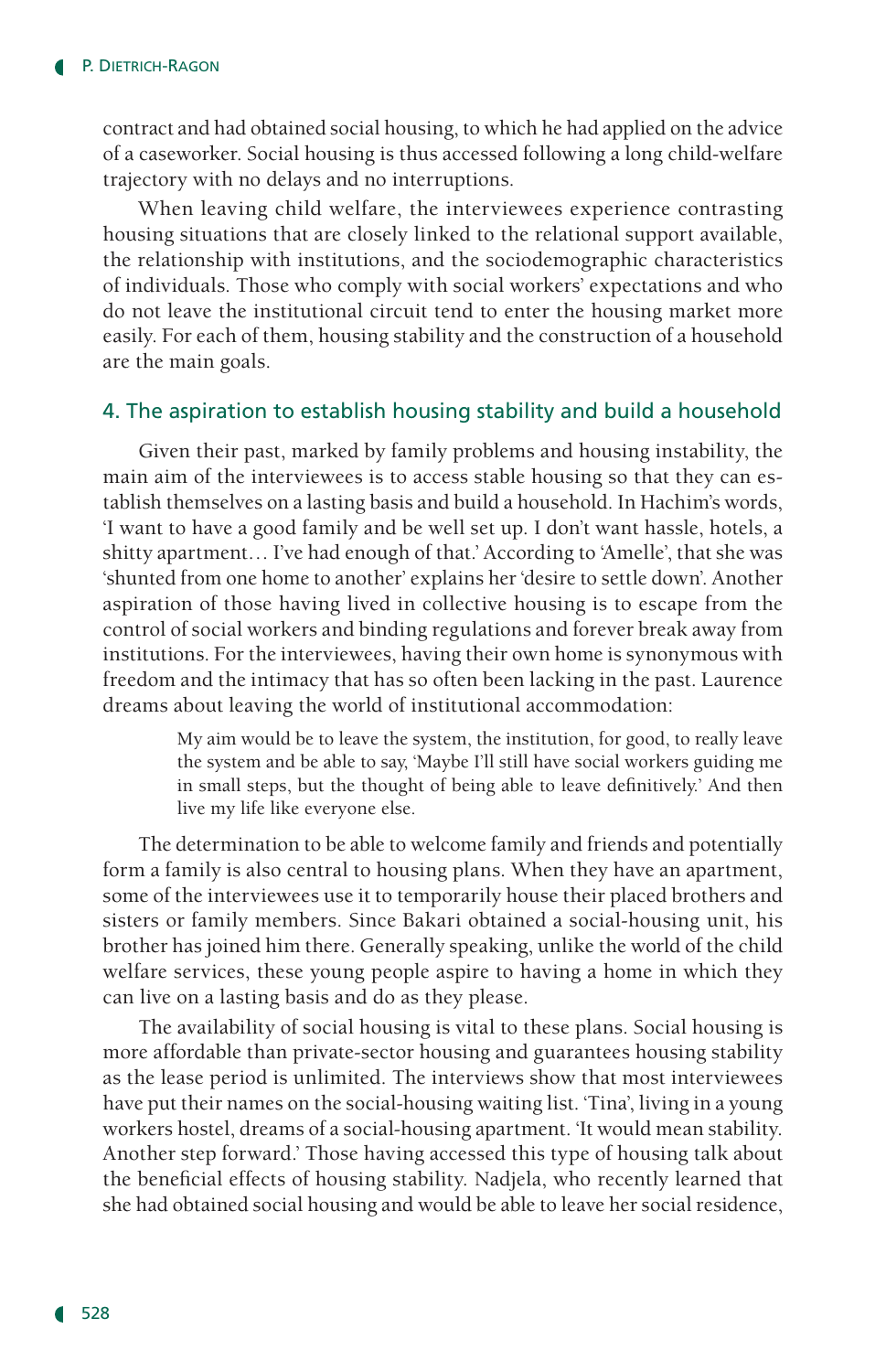contract and had obtained social housing, to which he had applied on the advice of a caseworker. Social housing is thus accessed following a long child-welfare trajectory with no delays and no interruptions.

When leaving child welfare, the interviewees experience contrasting housing situations that are closely linked to the relational support available, the relationship with institutions, and the sociodemographic characteristics of individuals. Those who comply with social workers' expectations and who do not leave the institutional circuit tend to enter the housing market more easily. For each of them, housing stability and the construction of a household are the main goals.

### 4. The aspiration to establish housing stability and build a household

Given their past, marked by family problems and housing instability, the main aim of the interviewees is to access stable housing so that they can establish themselves on a lasting basis and build a household. In Hachim's words, 'I want to have a good family and be well set up. I don't want hassle, hotels, a shitty apartment… I've had enough of that.' According to 'Amelle', that she was 'shunted from one home to another' explains her 'desire to settle down'. Another aspiration of those having lived in collective housing is to escape from the control of social workers and binding regulations and forever break away from institutions. For the interviewees, having their own home is synonymous with freedom and the intimacy that has so often been lacking in the past. Laurence dreams about leaving the world of institutional accommodation:

> My aim would be to leave the system, the institution, for good, to really leave the system and be able to say, 'Maybe I'll still have social workers guiding me in small steps, but the thought of being able to leave definitively.' And then live my life like everyone else.

The determination to be able to welcome family and friends and potentially form a family is also central to housing plans. When they have an apartment, some of the interviewees use it to temporarily house their placed brothers and sisters or family members. Since Bakari obtained a social-housing unit, his brother has joined him there. Generally speaking, unlike the world of the child welfare services, these young people aspire to having a home in which they can live on a lasting basis and do as they please.

The availability of social housing is vital to these plans. Social housing is more affordable than private-sector housing and guarantees housing stability as the lease period is unlimited. The interviews show that most interviewees have put their names on the social-housing waiting list. 'Tina', living in a young workers hostel, dreams of a social-housing apartment. 'It would mean stability. Another step forward.' Those having accessed this type of housing talk about the beneficial effects of housing stability. Nadjela, who recently learned that she had obtained social housing and would be able to leave her social residence,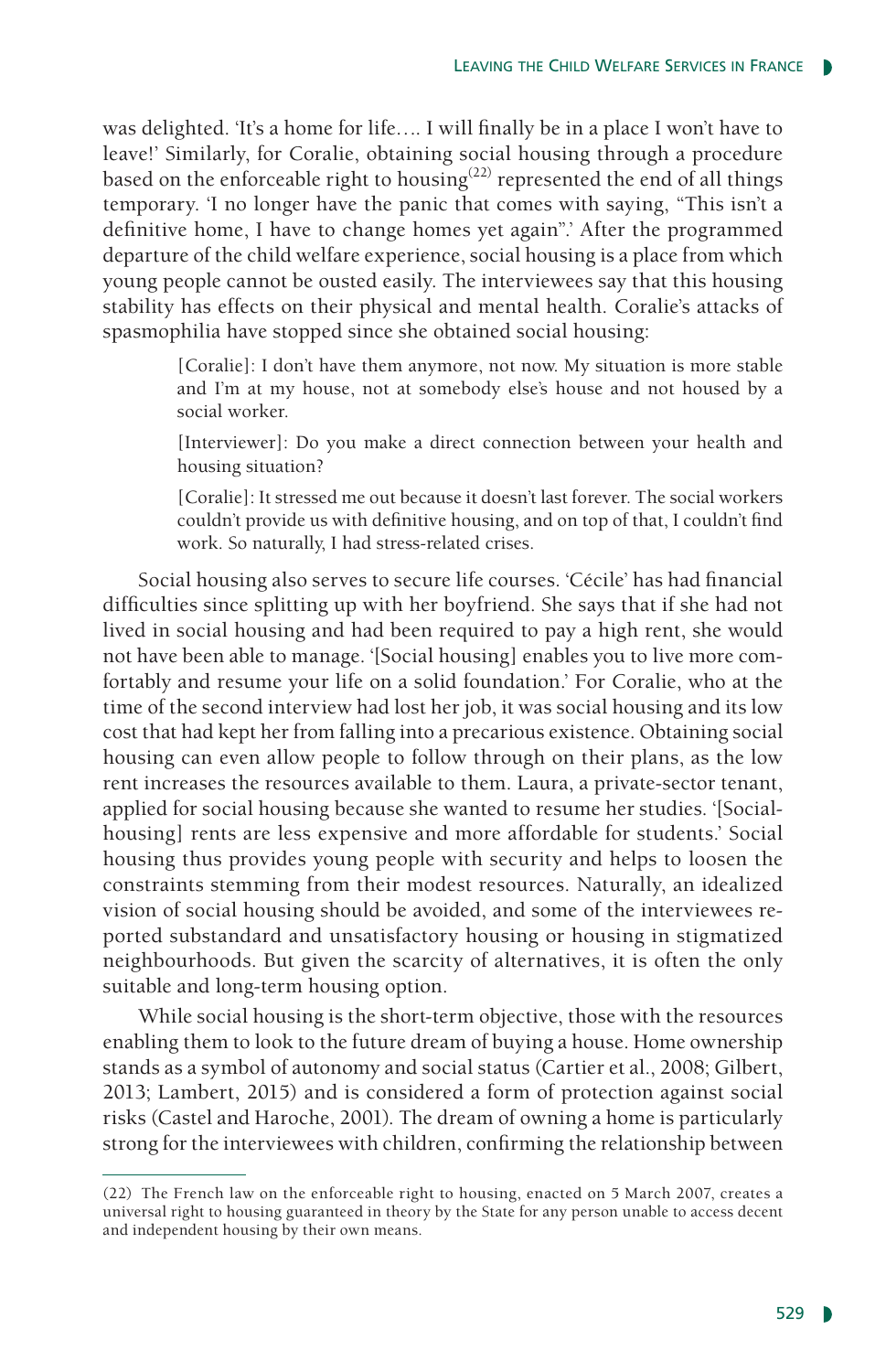was delighted. 'It's a home for life…. I will finally be in a place I won't have to leave!' Similarly, for Coralie, obtaining social housing through a procedure based on the enforceable right to housing<sup>(22)</sup> represented the end of all things temporary. 'I no longer have the panic that comes with saying, "This isn't a definitive home, I have to change homes yet again".' After the programmed departure of the child welfare experience, social housing is a place from which young people cannot be ousted easily. The interviewees say that this housing stability has effects on their physical and mental health. Coralie's attacks of spasmophilia have stopped since she obtained social housing:

> [Coralie]: I don't have them anymore, not now. My situation is more stable and I'm at my house, not at somebody else's house and not housed by a social worker.

> [Interviewer]: Do you make a direct connection between your health and housing situation?

> [Coralie]: It stressed me out because it doesn't last forever. The social workers couldn't provide us with definitive housing, and on top of that, I couldn't find work. So naturally, I had stress-related crises.

Social housing also serves to secure life courses. 'Cécile' has had financial difficulties since splitting up with her boyfriend. She says that if she had not lived in social housing and had been required to pay a high rent, she would not have been able to manage. '[Social housing] enables you to live more comfortably and resume your life on a solid foundation.' For Coralie, who at the time of the second interview had lost her job, it was social housing and its low cost that had kept her from falling into a precarious existence. Obtaining social housing can even allow people to follow through on their plans, as the low rent increases the resources available to them. Laura, a private-sector tenant, applied for social housing because she wanted to resume her studies. '[Socialhousing] rents are less expensive and more affordable for students.' Social housing thus provides young people with security and helps to loosen the constraints stemming from their modest resources. Naturally, an idealized vision of social housing should be avoided, and some of the interviewees reported substandard and unsatisfactory housing or housing in stigmatized neighbourhoods. But given the scarcity of alternatives, it is often the only suitable and long-term housing option.

While social housing is the short-term objective, those with the resources enabling them to look to the future dream of buying a house. Home ownership stands as a symbol of autonomy and social status (Cartier et al., 2008; Gilbert, 2013; Lambert, 2015) and is considered a form of protection against social risks (Castel and Haroche, 2001). The dream of owning a home is particularly strong for the interviewees with children, confirming the relationship between

<sup>(22)</sup> The French law on the enforceable right to housing, enacted on 5 March 2007, creates a universal right to housing guaranteed in theory by the State for any person unable to access decent and independent housing by their own means.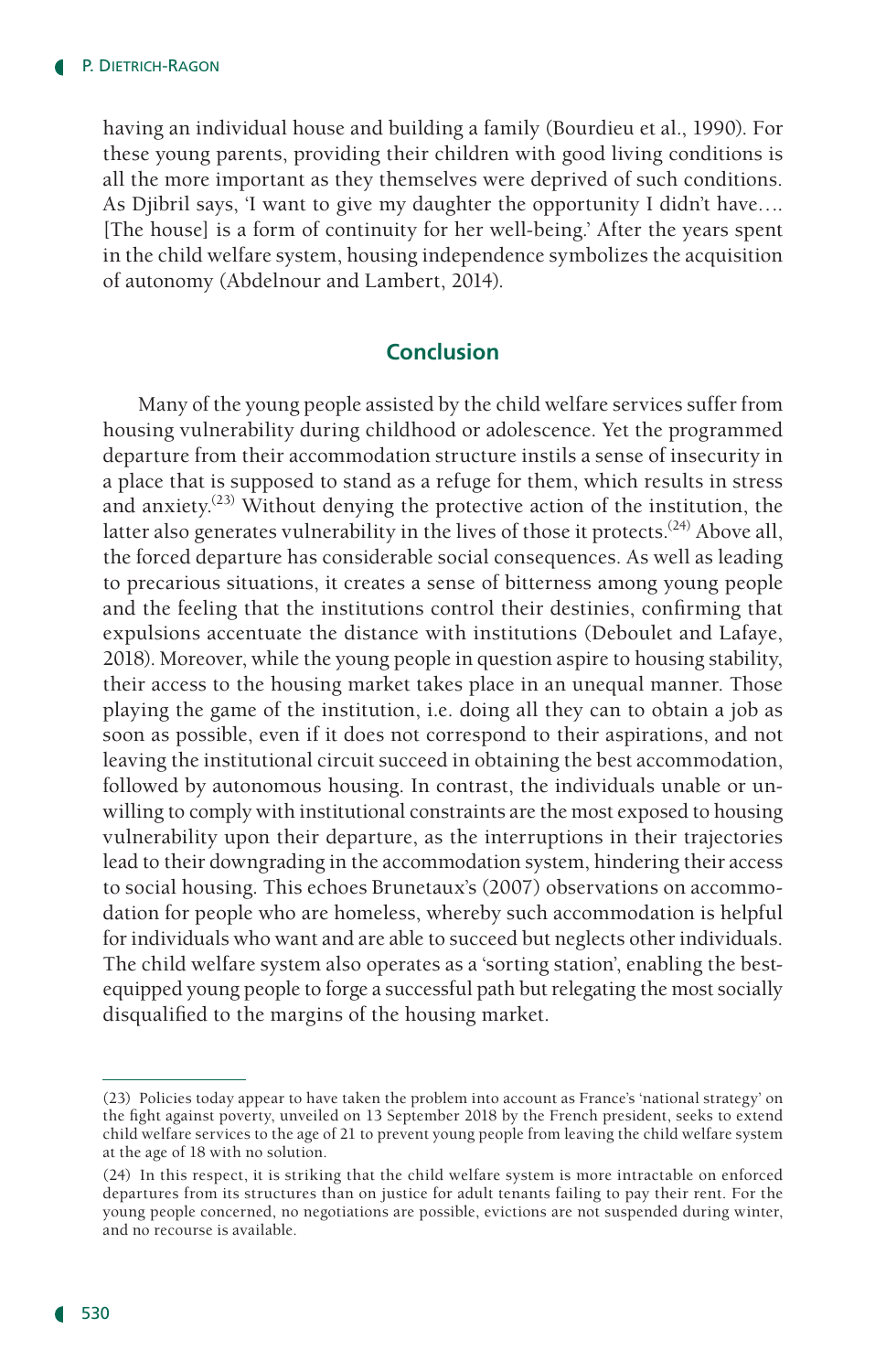having an individual house and building a family (Bourdieu et al., 1990). For these young parents, providing their children with good living conditions is all the more important as they themselves were deprived of such conditions. As Djibril says, 'I want to give my daughter the opportunity I didn't have…. [The house] is a form of continuity for her well-being.' After the years spent in the child welfare system, housing independence symbolizes the acquisition of autonomy (Abdelnour and Lambert, 2014).

## **Conclusion**

Many of the young people assisted by the child welfare services suffer from housing vulnerability during childhood or adolescence. Yet the programmed departure from their accommodation structure instils a sense of insecurity in a place that is supposed to stand as a refuge for them, which results in stress and anxiety.<sup> $(23)$ </sup> Without denying the protective action of the institution, the latter also generates vulnerability in the lives of those it protects.<sup>(24)</sup> Above all, the forced departure has considerable social consequences. As well as leading to precarious situations, it creates a sense of bitterness among young people and the feeling that the institutions control their destinies, confirming that expulsions accentuate the distance with institutions (Deboulet and Lafaye, 2018). Moreover, while the young people in question aspire to housing stability, their access to the housing market takes place in an unequal manner. Those playing the game of the institution, i.e. doing all they can to obtain a job as soon as possible, even if it does not correspond to their aspirations, and not leaving the institutional circuit succeed in obtaining the best accommodation, followed by autonomous housing. In contrast, the individuals unable or unwilling to comply with institutional constraints are the most exposed to housing vulnerability upon their departure, as the interruptions in their trajectories lead to their downgrading in the accommodation system, hindering their access to social housing. This echoes Brunetaux's (2007) observations on accommodation for people who are homeless, whereby such accommodation is helpful for individuals who want and are able to succeed but neglects other individuals. The child welfare system also operates as a 'sorting station', enabling the bestequipped young people to forge a successful path but relegating the most socially disqualified to the margins of the housing market.

<sup>(23)</sup> Policies today appear to have taken the problem into account as France's 'national strategy' on the fight against poverty, unveiled on 13 September 2018 by the French president, seeks to extend child welfare services to the age of 21 to prevent young people from leaving the child welfare system at the age of 18 with no solution.

<sup>(24)</sup> In this respect, it is striking that the child welfare system is more intractable on enforced departures from its structures than on justice for adult tenants failing to pay their rent. For the young people concerned, no negotiations are possible, evictions are not suspended during winter, and no recourse is available.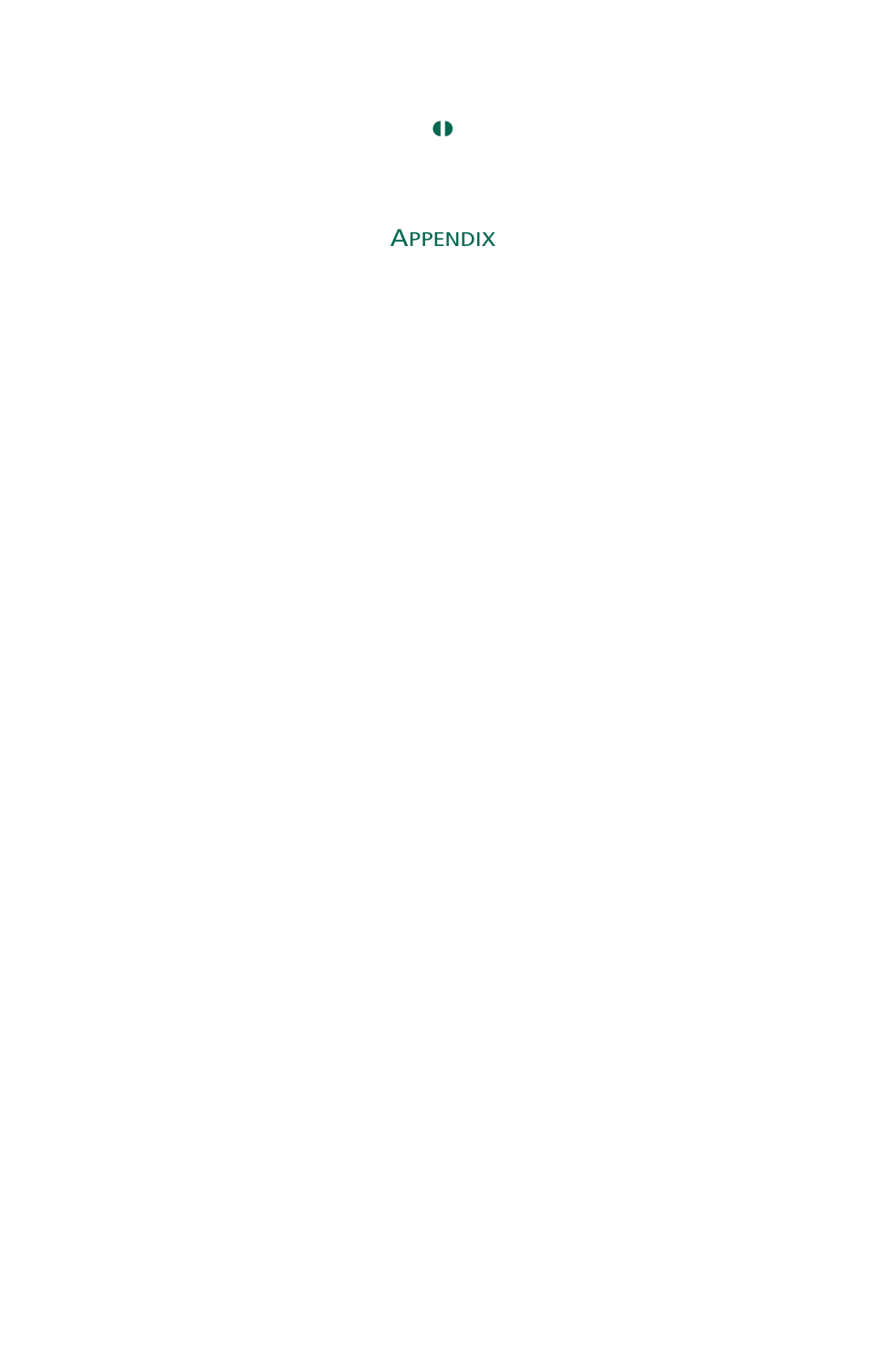

# **APPENDIX**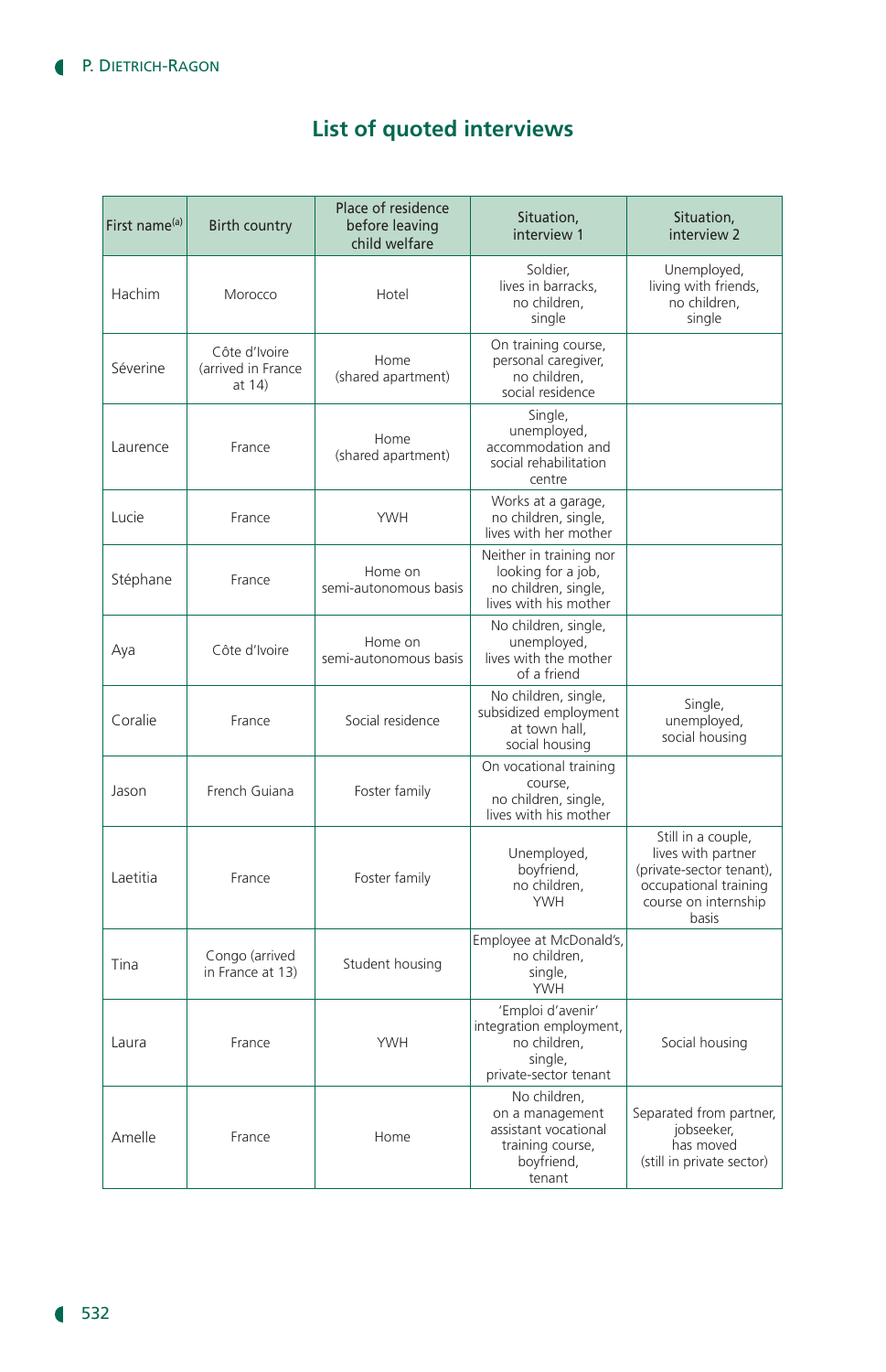# **List of quoted interviews**

| First name <sup>(a)</sup> | <b>Birth country</b>                          | Place of residence<br>before leaving<br>child welfare | Situation,<br>interview 1                                                                           | Situation.<br>interview 2                                                                                                      |
|---------------------------|-----------------------------------------------|-------------------------------------------------------|-----------------------------------------------------------------------------------------------------|--------------------------------------------------------------------------------------------------------------------------------|
| Hachim                    | Morocco                                       | Hotel                                                 | Soldier.<br>lives in barracks,<br>no children,<br>single                                            | Unemployed,<br>living with friends,<br>no children,<br>single                                                                  |
| Séverine                  | Côte d'Ivoire<br>(arrived in France<br>at 14) | Home<br>(shared apartment)                            | On training course,<br>personal caregiver,<br>no children.<br>social residence                      |                                                                                                                                |
| Laurence                  | France                                        | Home<br>(shared apartment)                            | Single,<br>unemployed,<br>accommodation and<br>social rehabilitation<br>centre                      |                                                                                                                                |
| Lucie                     | France                                        | <b>YWH</b>                                            | Works at a garage,<br>no children, single,<br>lives with her mother                                 |                                                                                                                                |
| Stéphane                  | France                                        | Home on<br>semi-autonomous basis                      | Neither in training nor<br>looking for a job,<br>no children, single,<br>lives with his mother      |                                                                                                                                |
| Aya                       | Côte d'Ivoire                                 | Home on<br>semi-autonomous basis                      | No children, single,<br>unemployed,<br>lives with the mother<br>of a friend                         |                                                                                                                                |
| Coralie                   | France                                        | Social residence                                      | No children, single,<br>subsidized employment<br>at town hall,<br>social housing                    | Single,<br>unemployed,<br>social housing                                                                                       |
| Jason                     | French Guiana                                 | Foster family                                         | On vocational training<br>course,<br>no children, single,<br>lives with his mother                  |                                                                                                                                |
| Laetitia                  | France                                        | Foster family                                         | Unemployed,<br>boyfriend,<br>no children,<br><b>YWH</b>                                             | Still in a couple,<br>lives with partner<br>(private-sector tenant),<br>occupational training<br>course on internship<br>basis |
| Tina                      | Congo (arrived<br>in France at 13)            | Student housing                                       | Employee at McDonald's,<br>no children,<br>single,<br><b>YWH</b>                                    |                                                                                                                                |
| Laura                     | France                                        | <b>YWH</b>                                            | 'Emploi d'avenir'<br>integration employment,<br>no children,<br>single,<br>private-sector tenant    | Social housing                                                                                                                 |
| Amelle                    | France                                        | Home                                                  | No children,<br>on a management<br>assistant vocational<br>training course,<br>boyfriend,<br>tenant | Separated from partner,<br>iobseeker.<br>has moved<br>(still in private sector)                                                |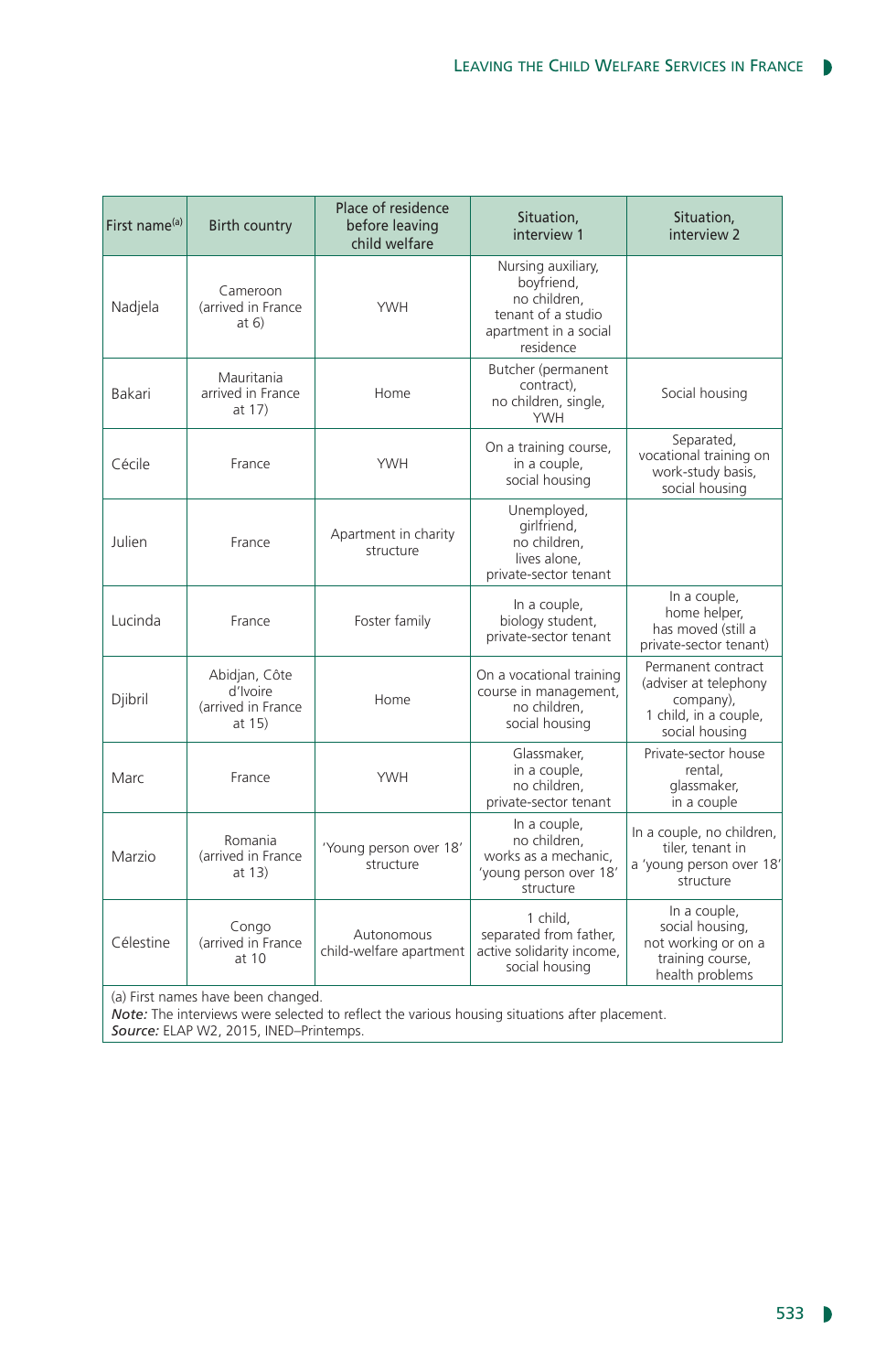| First name <sup>(a)</sup>                                                                                                                                                     | <b>Birth country</b>                                      | Place of residence<br>before leaving<br>child welfare | Situation,<br>interview 1                                                                                    | Situation,<br>interview 2                                                                           |  |  |
|-------------------------------------------------------------------------------------------------------------------------------------------------------------------------------|-----------------------------------------------------------|-------------------------------------------------------|--------------------------------------------------------------------------------------------------------------|-----------------------------------------------------------------------------------------------------|--|--|
| Nadjela                                                                                                                                                                       | Cameroon<br>(arrived in France<br>at 6)                   | <b>YWH</b>                                            | Nursing auxiliary,<br>boyfriend,<br>no children,<br>tenant of a studio<br>apartment in a social<br>residence |                                                                                                     |  |  |
| Bakari                                                                                                                                                                        | Mauritania<br>arrived in France<br>at 17)                 | Home                                                  | Butcher (permanent<br>contract),<br>no children, single,<br><b>YWH</b>                                       | Social housing                                                                                      |  |  |
| Cécile                                                                                                                                                                        | France                                                    | <b>YWH</b>                                            | On a training course,<br>in a couple,<br>social housing                                                      | Separated,<br>vocational training on<br>work-study basis,<br>social housing                         |  |  |
| Julien                                                                                                                                                                        | France                                                    | Apartment in charity<br>structure                     | Unemployed,<br>girlfriend,<br>no children,<br>lives alone,<br>private-sector tenant                          |                                                                                                     |  |  |
| Lucinda                                                                                                                                                                       | France                                                    | Foster family                                         | In a couple,<br>biology student,<br>private-sector tenant                                                    | In a couple,<br>home helper,<br>has moved (still a<br>private-sector tenant)                        |  |  |
| Djibril                                                                                                                                                                       | Abidjan, Côte<br>d'Ivoire<br>(arrived in France<br>at 15) | Home                                                  | On a vocational training<br>course in management,<br>no children,<br>social housing                          | Permanent contract<br>(adviser at telephony<br>company),<br>1 child, in a couple,<br>social housing |  |  |
| Marc                                                                                                                                                                          | France                                                    | <b>YWH</b>                                            | Glassmaker,<br>in a couple,<br>no children,<br>private-sector tenant                                         | Private-sector house<br>rental.<br>glassmaker,<br>in a couple                                       |  |  |
| Marzio                                                                                                                                                                        | Romania<br>(arrived in France<br>at 13)                   | 'Young person over 18'<br>structure                   | In a couple,<br>no children,<br>works as a mechanic,<br>'young person over 18'<br>structure                  | In a couple, no children,<br>tiler, tenant in<br>a 'young person over 18'<br>structure              |  |  |
| Célestine                                                                                                                                                                     | Congo<br>(arrived in France<br>at $10$                    | Autonomous<br>child-welfare apartment                 | 1 child,<br>separated from father,<br>active solidarity income,<br>social housing                            | In a couple,<br>social housing,<br>not working or on a<br>training course,<br>health problems       |  |  |
| (a) First names have been changed.<br>Note: The interviews were selected to reflect the various housing situations after placement.<br>Source: ELAP W2, 2015, INED-Printemps. |                                                           |                                                       |                                                                                                              |                                                                                                     |  |  |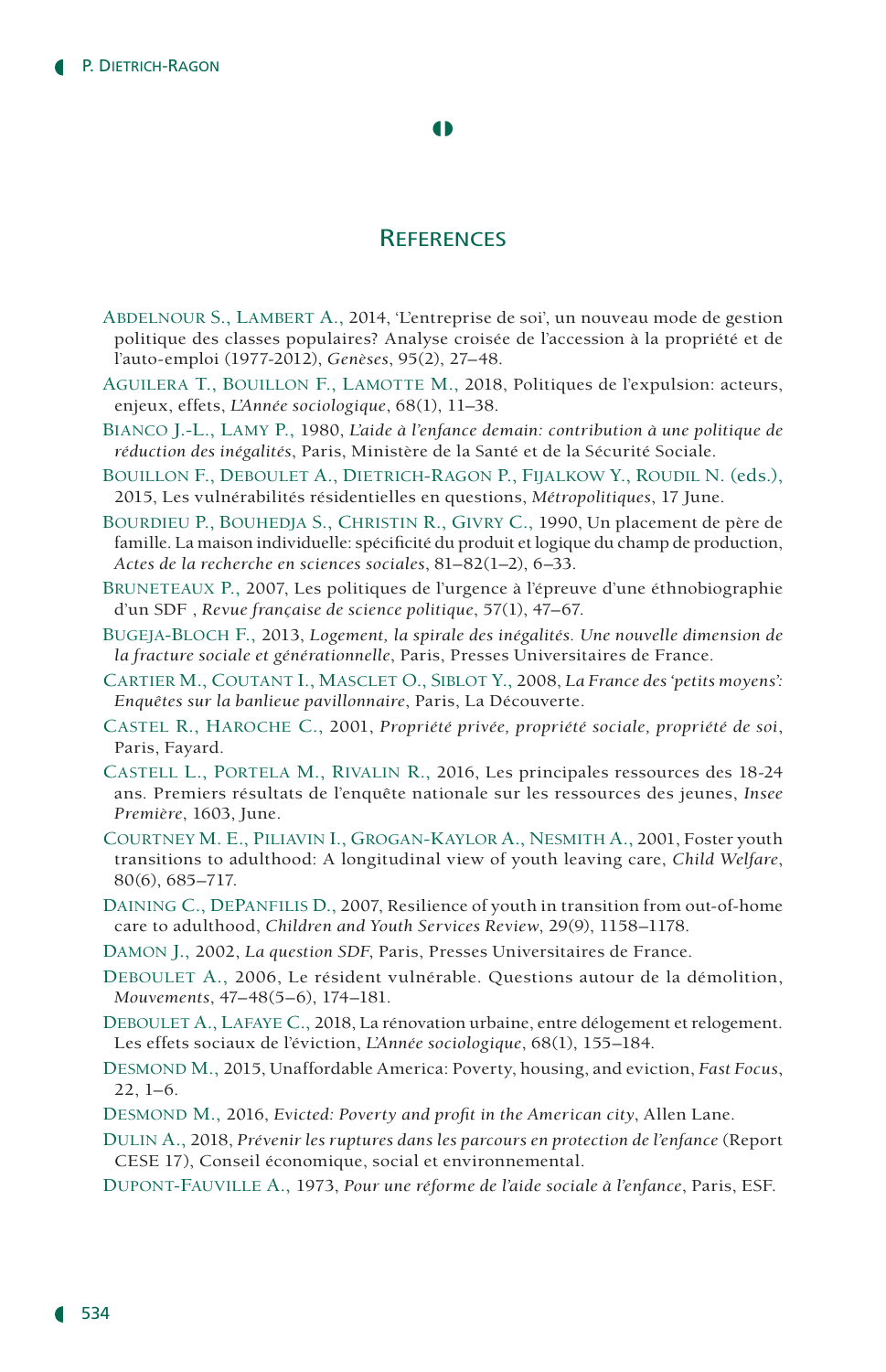#### $\bullet$

## **REFERENCES**

- Abdelnour S., Lambert A., 2014, 'L'entreprise de soi', un nouveau mode de gestion politique des classes populaires? Analyse croisée de l'accession à la propriété et de l'auto-emploi (1977-2012), *Genèses*, 95(2), 27–48.
- AGUILERA T., BOUILLON F., LAMOTTE M., 2018, Politiques de l'expulsion: acteurs, enjeux, effets, *L'Année sociologique*, 68(1), 11–38.
- Bianco J.-L., Lamy P., 1980, *L'aide à l'enfance demain: contribution à une politique de réduction des inégalités*, Paris, Ministère de la Santé et de la Sécurité Sociale.
- Bouillon F., Deboulet A., Dietrich-Ragon P., Fijalkow Y., Roudil N. (eds.), 2015, Les vulnérabilités résidentielles en questions, *Métropolitiques*, 17 June.
- Bourdieu P., Bouhedja S., Christin R., Givry C., 1990, Un placement de père de famille. La maison individuelle: spécificité du produit et logique du champ de production, *Actes de la recherche en sciences sociales*, 81–82(1–2), 6–33.
- Bruneteaux P., 2007, Les politiques de l'urgence à l'épreuve d'une éthnobiographie d'un SDF , *Revue française de science politique*, 57(1), 47–67.
- Bugeja-Bloch F., 2013, *Logement, la spirale des inégalités. Une nouvelle dimension de la fracture sociale et générationnelle*, Paris, Presses Universitaires de France.
- Cartier M., Coutant I., Masclet O., Siblot Y., 2008, *La France des 'petits moyens': Enquêtes sur la banlieue pavillonnaire*, Paris, La Découverte.
- Castel R., Haroche C., 2001, *Propriété privée, propriété sociale, propriété de soi*, Paris, Fayard.
- Castell L., Portela M., Rivalin R., 2016, Les principales ressources des 18-24 ans. Premiers résultats de l'enquête nationale sur les ressources des jeunes, *Insee Première*, 1603, June.
- Courtney M. E., Piliavin I., Grogan-Kaylor A., Nesmith A., 2001, Foster youth transitions to adulthood: A longitudinal view of youth leaving care, *Child Welfare*, 80(6), 685–717.
- Daining C., DePanfilis D., 2007, Resilience of youth in transition from out-of-home care to adulthood, *Children and Youth Services Review*, 29(9), 1158–1178.
- Damon J., 2002, *La question SDF*, Paris, Presses Universitaires de France.
- DEBOULET A., 2006, Le résident vulnérable. Questions autour de la démolition, *Mouvements*, 47–48(5–6), 174–181.
- DEBOULET A., LAFAYE C., 2018, La rénovation urbaine, entre délogement et relogement. Les effets sociaux de l'éviction, *L'Année sociologique*, 68(1), 155–184.
- Desmond M., 2015, Unaffordable America: Poverty, housing, and eviction, *Fast Focus*, 22, 1–6.
- Desmond M., 2016, *Evicted: Poverty and profit in the American city*, Allen Lane.
- Dulin A., 2018, *Prévenir les ruptures dans les parcours en protection de l'enfance* (Report CESE 17), Conseil économique, social et environnemental.
- Dupont-Fauville A., 1973, *Pour une réforme de l'aide sociale à l'enfance*, Paris, ESF.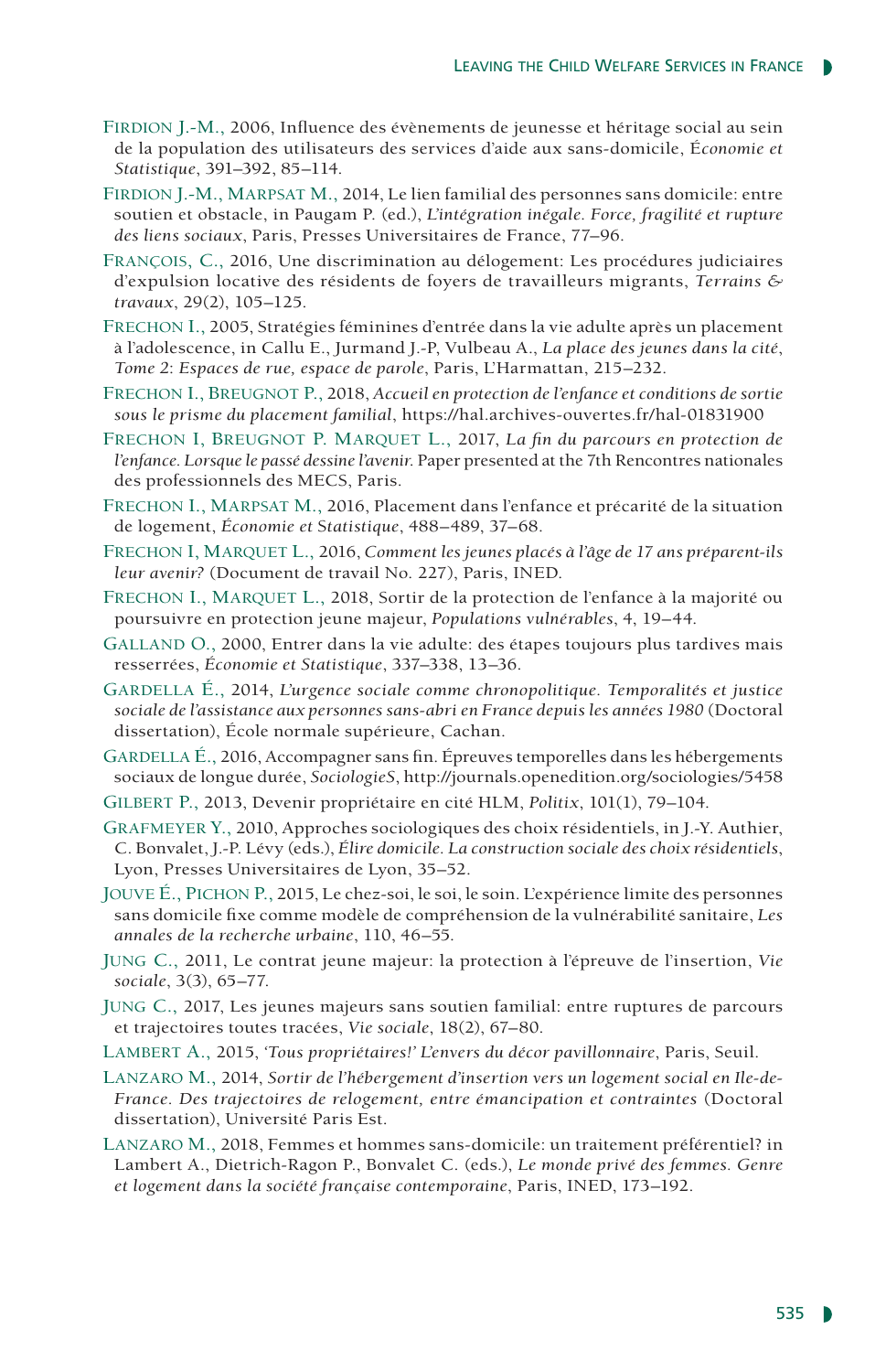- Firdion J.-M., 2006, Influence des évènements de jeunesse et héritage social au sein de la population des utilisateurs des services d'aide aux sans-domicile, É*conomie et Statistique*, 391–392, 85–114.
- Firdion J.-M., Marpsat M., 2014, Le lien familial des personnes sans domicile: entre soutien et obstacle, in Paugam P. (ed.), *L'intégration inégale. Force, fragilité et rupture des liens sociaux*, Paris, Presses Universitaires de France, 77–96.
- François, C., 2016, Une discrimination au délogement: Les procédures judiciaires d'expulsion locative des résidents de foyers de travailleurs migrants, *Terrains & travaux*, 29(2), 105–125.
- Frechon I., 2005, Stratégies féminines d'entrée dans la vie adulte après un placement à l'adolescence, in Callu E., Jurmand J.-P, Vulbeau A., *La place des jeunes dans la cité*, *Tome 2*: *Espaces de rue, espace de parole*, Paris, L'Harmattan, 215–232.
- Frechon I., Breugnot P., 2018, *Accueil en protection de l'enfance et conditions de sortie sous le prisme du placement familial*, https://hal.archives-ouvertes.fr/hal-01831900
- FRECHON I, BREUGNOT P. MARQUET L., 2017, La fin du parcours en protection de *l'enfance. Lorsque le passé dessine l'avenir*. Paper presented at the 7th Rencontres nationales des professionnels des MECS, Paris.
- Frechon I., Marpsat M., 2016, Placement dans l'enfance et précarité de la situation de logement, *Économie et* S*tatistique*, 488–489, 37–68.
- Frechon I, Marquet L., 2016, *Comment les jeunes placés à l'âge de 17 ans préparent-ils leur avenir?* (Document de travail No. 227), Paris, INED.
- FRECHON I., MARQUET L., 2018, Sortir de la protection de l'enfance à la majorité ou poursuivre en protection jeune majeur, *Populations vulnérables*, 4, 19–44.
- Galland O., 2000, Entrer dans la vie adulte: des étapes toujours plus tardives mais resserrées, *Économie et Statistique*, 337–338, 13–36.
- Gardella É., 2014, *L'urgence sociale comme chronopolitique. Temporalités et justice sociale de l'assistance aux personnes sans-abri en France depuis les années 1980* (Doctoral dissertation), École normale supérieure, Cachan.
- GARDELLA É., 2016, Accompagner sans fin. Épreuves temporelles dans les hébergements sociaux de longue durée, *SociologieS*, http://journals.openedition.org/sociologies/5458
- Gilbert P., 2013, Devenir propriétaire en cité HLM, *Politix*, 101(1), 79–104.
- Grafmeyer Y., 2010, Approches sociologiques des choix résidentiels, in J.-Y. Authier, C. Bonvalet, J.-P. Lévy (eds.), *Élire domicile. La construction sociale des choix résidentiels*, Lyon, Presses Universitaires de Lyon, 35–52.
- Jouve É., Pichon P., 2015, Le chez-soi, le soi, le soin. L'expérience limite des personnes sans domicile fixe comme modèle de compréhension de la vulnérabilité sanitaire, *Les annales de la recherche urbaine*, 110, 46–55.
- Jung C., 2011, Le contrat jeune majeur: la protection à l'épreuve de l'insertion, *Vie sociale*, 3(3), 65–77.
- Jung C., 2017, Les jeunes majeurs sans soutien familial: entre ruptures de parcours et trajectoires toutes tracées, *Vie sociale*, 18(2), 67–80.
- Lambert A., 2015, *'Tous propriétaires!' L'envers du décor pavillonnaire*, Paris, Seuil.
- LANZARO M., 2014, Sortir de l'hébergement d'insertion vers un logement social en Ile-de-*France. Des trajectoires de relogement, entre émancipation et contraintes* (Doctoral dissertation), Université Paris Est.
- Lanzaro M., 2018, Femmes et hommes sans-domicile: un traitement préférentiel? in Lambert A., Dietrich-Ragon P., Bonvalet C. (eds.), *Le monde privé des femmes. Genre et logement dans la société française contemporaine*, Paris, INED, 173–192.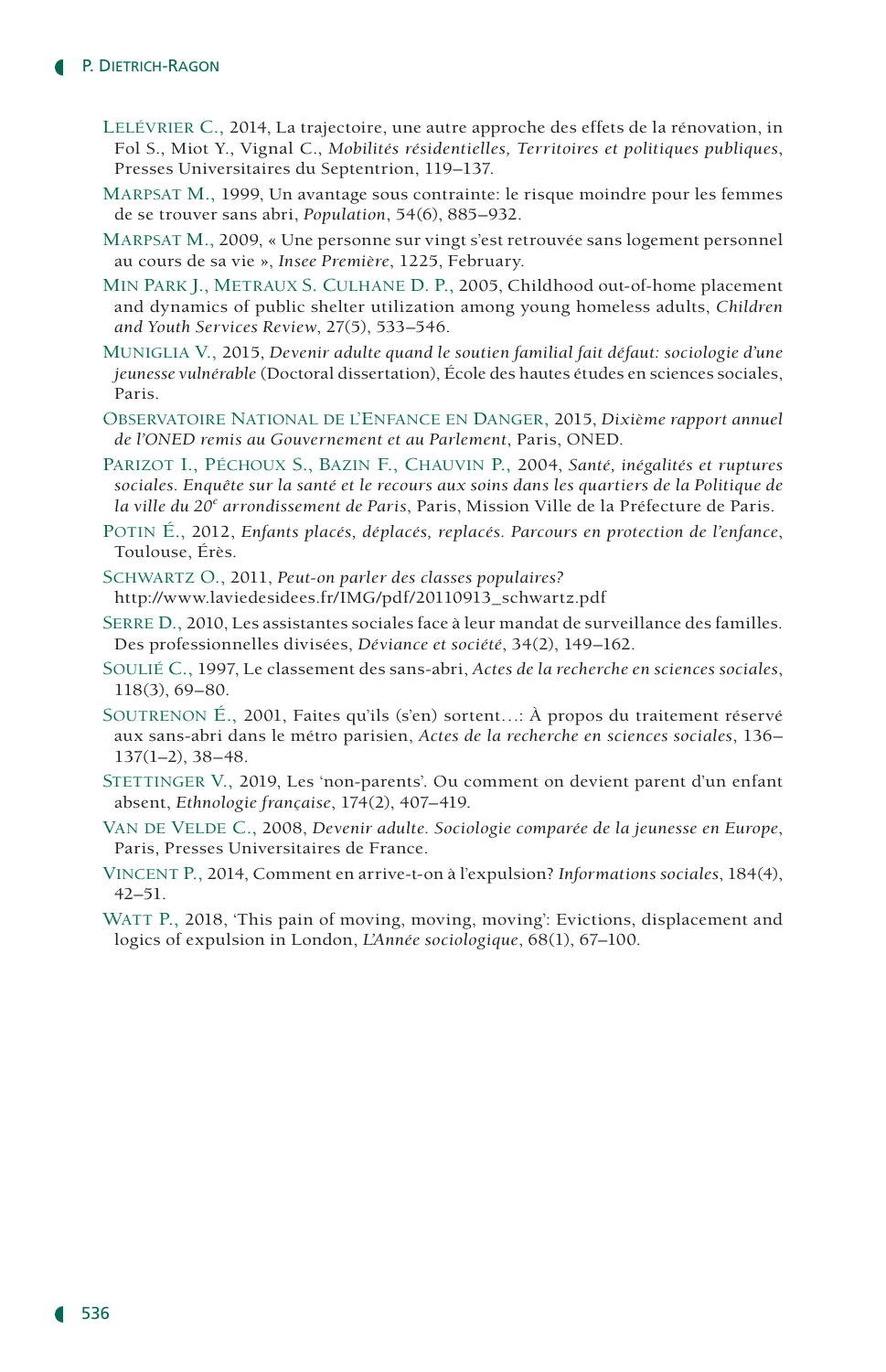- Lelévrier C., 2014, La trajectoire, une autre approche des effets de la rénovation, in Fol S., Miot Y., Vignal C., *Mobilités résidentielles, Territoires et politiques publiques*, Presses Universitaires du Septentrion, 119–137.
- Marpsat M., 1999, Un avantage sous contrainte: le risque moindre pour les femmes de se trouver sans abri, *Population*, 54(6), 885–932.
- Marpsat M., 2009, « Une personne sur vingt s'est retrouvée sans logement personnel au cours de sa vie », *Insee Première*, 1225, February.
- Min Park J., Metraux S. Culhane D. P., 2005, Childhood out-of-home placement and dynamics of public shelter utilization among young homeless adults, *Children and Youth Services Review*, 27(5), 533–546.
- Muniglia V., 2015, *Devenir adulte quand le soutien familial fait défaut: sociologie d'une jeunesse vulnérable* (Doctoral dissertation), École des hautes études en sciences sociales, Paris.
- Observatoire National de l'Enfance en Danger, 2015, *Dixième rapport annuel de l'ONED remis au Gouvernement et au Parlement*, Paris, ONED.
- Parizot I., Péchoux S., Bazin F., Chauvin P., 2004, *Santé, inégalités et ruptures sociales. Enquête sur la santé et le recours aux soins dans les quartiers de la Politique de la ville du 20<sup>e</sup> arrondissement de Paris*, Paris, Mission Ville de la Préfecture de Paris.
- Potin É., 2012, *Enfants placés, déplacés, replacés. Parcours en protection de l'enfance*, Toulouse, Érès.
- Schwartz O., 2011, *Peut-on parler des classes populaires?* http://www.laviedesidees.fr/IMG/pdf/20110913\_schwartz.pdf
- Serre D., 2010, Les assistantes sociales face à leur mandat de surveillance des familles. Des professionnelles divisées, *Déviance et société*, 34(2), 149–162.
- Soulié C., 1997, Le classement des sans-abri, *Actes de la recherche en sciences sociales*, 118(3), 69–80.
- Soutrenon É., 2001, Faites qu'ils (s'en) sortent…: À propos du traitement réservé aux sans-abri dans le métro parisien, *Actes de la recherche en sciences sociales*, 136– 137(1–2), 38–48.
- STETTINGER V., 2019, Les 'non-parents'. Ou comment on devient parent d'un enfant absent, *Ethnologie française*, 174(2), 407–419.
- VAN DE VELDE C., 2008, *Devenir adulte. Sociologie comparée de la jeunesse en Europe*, Paris, Presses Universitaires de France.
- Vincent P., 2014, Comment en arrive-t-on à l'expulsion? *Informations sociales*, 184(4), 42–51.
- WATT P., 2018, 'This pain of moving, moving, moving': Evictions, displacement and logics of expulsion in London, *L'Année sociologique*, 68(1), 67–100.